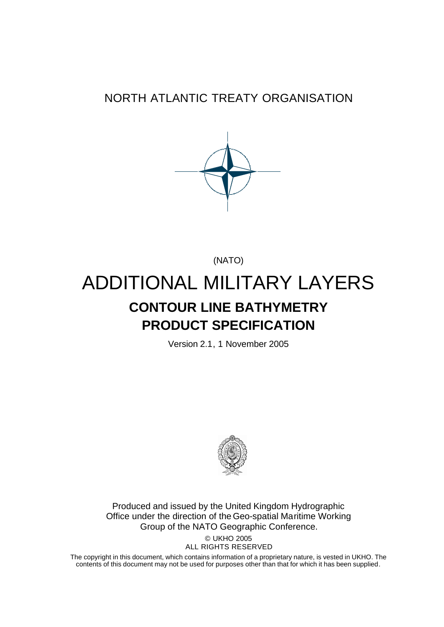# NORTH ATLANTIC TREATY ORGANISATION



(NATO)

# ADDITIONAL MILITARY LAYERS **CONTOUR LINE BATHYMETRY PRODUCT SPECIFICATION**

Version 2.1, 1 November 2005



Produced and issued by the United Kingdom Hydrographic Office under the direction of the Geo-spatial Maritime Working Group of the NATO Geographic Conference.

© UKHO 2005 ALL RIGHTS RESERVED

The copyright in this document, which contains information of a proprietary nature, is vested in UKHO. The contents of this document may not be used for purposes other than that for which it has been supplied.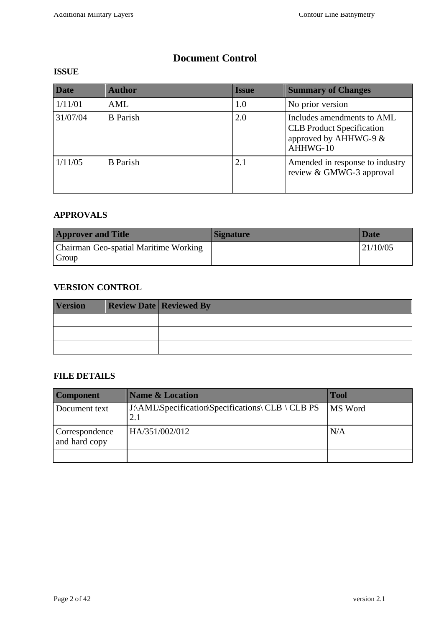# **Document Control**

## **ISSUE**

| <b>Date</b> | <b>Author</b>   | <b>Issue</b> | <b>Summary of Changes</b>                                                                             |
|-------------|-----------------|--------------|-------------------------------------------------------------------------------------------------------|
| 1/11/01     | AML             | 1.0          | No prior version                                                                                      |
| 31/07/04    | <b>B</b> Parish | 2.0          | Includes amendments to AML<br><b>CLB</b> Product Specification<br>approved by AHHWG-9 $&$<br>AHHWG-10 |
| 1/11/05     | <b>B</b> Parish | 2.1          | Amended in response to industry<br>review & GMWG-3 approval                                           |
|             |                 |              |                                                                                                       |

## **APPROVALS**

| <b>Approver and Title</b>                      | <b>Signature</b> | Date     |
|------------------------------------------------|------------------|----------|
| Chairman Geo-spatial Maritime Working<br>Group |                  | 21/10/05 |

## **VERSION CONTROL**

| <b>Version</b> | <b>Review Date Reviewed By</b> |
|----------------|--------------------------------|
|                |                                |
|                |                                |
|                |                                |

## **FILE DETAILS**

| <b>Component</b>                | <b>Name &amp; Location</b>                               | <b>Tool</b>    |
|---------------------------------|----------------------------------------------------------|----------------|
| Document text                   | J:\AML\Specification\Specifications\ CLB \ CLB PS<br>2.1 | <b>MS</b> Word |
| Correspondence<br>and hard copy | HA/351/002/012                                           | N/A            |
|                                 |                                                          |                |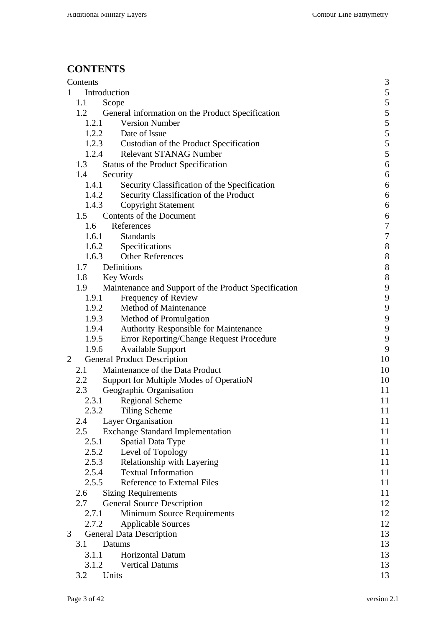# **CONTENTS**

|                | Contents      |                                                      | 3              |
|----------------|---------------|------------------------------------------------------|----------------|
| 1              | Introduction  |                                                      | $\frac{5}{5}$  |
|                | 1.1           | Scope                                                |                |
|                | 1.2           | General information on the Product Specification     | 5              |
|                | 1.2.1         | <b>Version Number</b>                                | $\frac{5}{5}$  |
|                |               | 1.2.2 Date of Issue                                  |                |
|                |               | 1.2.3 Custodian of the Product Specification         | $\frac{5}{5}$  |
|                |               | 1.2.4 Relevant STANAG Number                         |                |
|                | 1.3           | Status of the Product Specification                  | 6              |
|                | 1.4           | Security                                             | 6              |
|                | 1.4.1         | Security Classification of the Specification         | 6              |
|                | 1.4.2         | Security Classification of the Product               | 6              |
|                | 1.4.3         | <b>Copyright Statement</b>                           | 6              |
|                |               | 1.5 Contents of the Document                         | 6              |
|                | 1.6           | References                                           | $\overline{7}$ |
|                | 1.6.1         | <b>Standards</b>                                     | $\overline{7}$ |
|                |               | 1.6.2 Specifications                                 | 8              |
|                | 1.6.3         | <b>Other References</b>                              | 8              |
|                | 1.7           | Definitions                                          | 8              |
|                | 1.8 Key Words |                                                      | 8              |
|                | 1.9           | Maintenance and Support of the Product Specification | 9              |
|                | 1.9.1         | Frequency of Review                                  | 9              |
|                |               | 1.9.2 Method of Maintenance                          | 9              |
|                |               | 1.9.3 Method of Promulgation                         | 9              |
|                | 1.9.4         | Authority Responsible for Maintenance                | 9              |
|                | 1.9.5         | Error Reporting/Change Request Procedure             | 9              |
|                | 1.9.6         | <b>Available Support</b>                             | 9              |
| $\overline{2}$ |               | <b>General Product Description</b>                   | 10             |
|                | 2.1           | Maintenance of the Data Product                      | 10             |
|                | 2.2           | Support for Multiple Modes of OperatioN              | 10             |
|                | 2.3           | Geographic Organisation                              | 11             |
|                | 2.3.1         | <b>Regional Scheme</b>                               | 11             |
|                | 2.3.2         | Tiling Scheme                                        | 11             |
|                | 2.4           | Layer Organisation                                   | 11             |
|                | 2.5           | <b>Exchange Standard Implementation</b>              | 11             |
|                | 2.5.1         | Spatial Data Type                                    | 11             |
|                | 2.5.2         | Level of Topology                                    | 11             |
|                | 2.5.3         | Relationship with Layering                           | 11             |
|                | 2.5.4         | <b>Textual Information</b>                           | 11             |
|                | 2.5.5         | <b>Reference to External Files</b>                   | 11             |
|                | 2.6           | <b>Sizing Requirements</b>                           | 11             |
|                | 2.7           | <b>General Source Description</b>                    | 12             |
|                | 2.7.1         | Minimum Source Requirements                          | 12             |
|                | 2.7.2         | <b>Applicable Sources</b>                            | 12             |
| 3              |               | <b>General Data Description</b>                      | 13             |
|                | 3.1           | Datums                                               | 13             |
|                | 3.1.1         | Horizontal Datum                                     | 13             |
|                | 3.1.2         | <b>Vertical Datums</b>                               | 13             |
|                | 3.2           | Units                                                | 13             |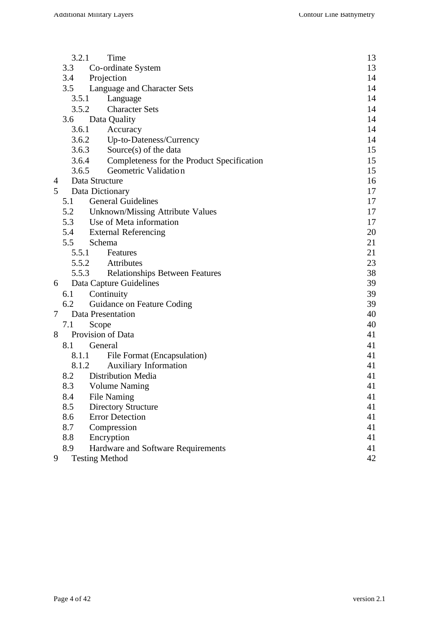|   | 3.2.1 | Time                                       | 13 |
|---|-------|--------------------------------------------|----|
|   | 3.3   | Co-ordinate System                         | 13 |
|   | 3.4   | Projection                                 | 14 |
|   | 3.5   | Language and Character Sets                | 14 |
|   | 3.5.1 | Language                                   | 14 |
|   |       | 3.5.2<br><b>Character Sets</b>             | 14 |
|   | 3.6   | Data Quality                               | 14 |
|   | 3.6.1 | Accuracy                                   | 14 |
|   |       | 3.6.2 Up-to-Dateness/Currency              | 14 |
|   |       | 3.6.3<br>Source $(s)$ of the data          | 15 |
|   | 3.6.4 | Completeness for the Product Specification | 15 |
|   | 3.6.5 | Geometric Validation                       | 15 |
| 4 |       | Data Structure                             | 16 |
| 5 |       | Data Dictionary                            | 17 |
|   | 5.1   | <b>General Guidelines</b>                  | 17 |
|   |       | 5.2 Unknown/Missing Attribute Values       | 17 |
|   | 5.3   | Use of Meta information                    | 17 |
|   |       | 5.4 External Referencing                   | 20 |
|   | 5.5   | Schema                                     | 21 |
|   |       | 5.5.1 Features                             | 21 |
|   |       | 5.5.2 Attributes                           | 23 |
|   |       | 5.5.3 Relationships Between Features       | 38 |
| 6 |       | Data Capture Guidelines                    | 39 |
|   | 6.1   | Continuity                                 | 39 |
|   | 6.2   | Guidance on Feature Coding                 | 39 |
| 7 |       | Data Presentation                          | 40 |
|   | 7.1   | Scope                                      | 40 |
| 8 |       | Provision of Data                          | 41 |
|   | 8.1   | General                                    | 41 |
|   | 8.1.1 | File Format (Encapsulation)                | 41 |
|   | 8.1.2 | <b>Auxiliary Information</b>               | 41 |
|   | 8.2   | Distribution Media                         | 41 |
|   | 8.3   | <b>Volume Naming</b>                       | 41 |
|   | 8.4   | <b>File Naming</b>                         | 41 |
|   | 8.5   | <b>Directory Structure</b>                 | 41 |
|   | 8.6   | <b>Error Detection</b>                     | 41 |
|   | 8.7   | Compression                                | 41 |
|   | 8.8   | Encryption                                 | 41 |
|   | 8.9   | Hardware and Software Requirements         | 41 |
| 9 |       | <b>Testing Method</b>                      | 42 |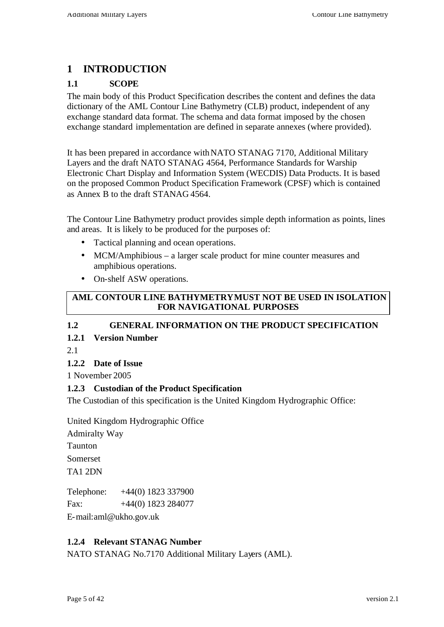# **1 INTRODUCTION**

## **1.1 SCOPE**

The main body of this Product Specification describes the content and defines the data dictionary of the AML Contour Line Bathymetry (CLB) product, independent of any exchange standard data format. The schema and data format imposed by the chosen exchange standard implementation are defined in separate annexes (where provided).

It has been prepared in accordance withNATO STANAG 7170, Additional Military Layers and the draft NATO STANAG 4564, Performance Standards for Warship Electronic Chart Display and Information System (WECDIS) Data Products. It is based on the proposed Common Product Specification Framework (CPSF) which is contained as Annex B to the draft STANAG 4564.

The Contour Line Bathymetry product provides simple depth information as points, lines and areas. It is likely to be produced for the purposes of:

- Tactical planning and ocean operations.
- MCM/Amphibious a larger scale product for mine counter measures and amphibious operations.
- On-shelf ASW operations.

#### **AML CONTOUR LINE BATHYMETRY MUST NOT BE USED IN ISOLATION FOR NAVIGATIONAL PURPOSES**

## **1.2 GENERAL INFORMATION ON THE PRODUCT SPECIFICATION**

## **1.2.1 Version Number**

2.1

## **1.2.2 Date of Issue**

1 November 2005

#### **1.2.3 Custodian of the Product Specification**

The Custodian of this specification is the United Kingdom Hydrographic Office:

United Kingdom Hydrographic Office

Admiralty Way Taunton Somerset TA1 2DN

Telephone: +44(0) 1823 337900 Fax:  $+44(0)$  1823 284077

E-mail:aml@ukho.gov.uk

## **1.2.4 Relevant STANAG Number**

NATO STANAG No.7170 Additional Military Layers (AML).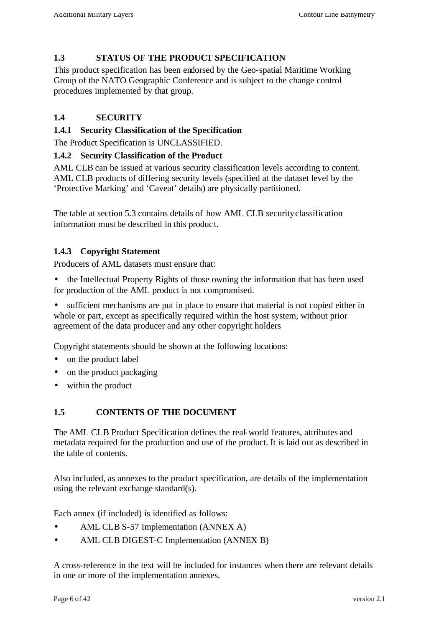## **1.3 STATUS OF THE PRODUCT SPECIFICATION**

This product specification has been endorsed by the Geo-spatial Maritime Working Group of the NATO Geographic Conference and is subject to the change control procedures implemented by that group.

## **1.4 SECURITY**

#### **1.4.1 Security Classification of the Specification**

The Product Specification is UNCLASSIFIED.

#### **1.4.2 Security Classification of the Product**

AML CLB can be issued at various security classification levels according to content. AML CLB products of differing security levels (specified at the dataset level by the 'Protective Marking' and 'Caveat' details) are physically partitioned.

The table at section 5.3 contains details of how AML CLB security classification information must be described in this produc t.

#### **1.4.3 Copyright Statement**

Producers of AML datasets must ensure that:

• the Intellectual Property Rights of those owning the information that has been used for production of the AML product is not compromised.

• sufficient mechanisms are put in place to ensure that material is not copied either in whole or part, except as specifically required within the host system, without prior agreement of the data producer and any other copyright holders

Copyright statements should be shown at the following locations:

- on the product label
- on the product packaging
- within the product

#### **1.5 CONTENTS OF THE DOCUMENT**

The AML CLB Product Specification defines the real-world features, attributes and metadata required for the production and use of the product. It is laid out as described in the table of contents.

Also included, as annexes to the product specification, are details of the implementation using the relevant exchange standard(s).

Each annex (if included) is identified as follows:

- AML CLB S-57 Implementation (ANNEX A)
- AML CLB DIGEST-C Implementation (ANNEX B)

A cross-reference in the text will be included for instances when there are relevant details in one or more of the implementation annexes.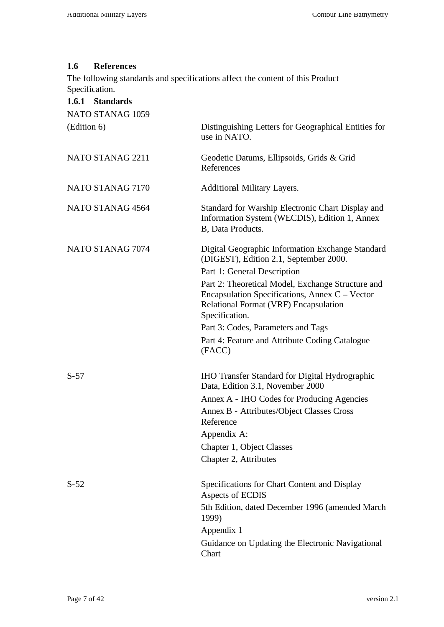#### **1.6 References**

The following standards and specifications affect the content of this Product Specification.

| 1.6.1 Standards  |                                                                                                                                                                         |
|------------------|-------------------------------------------------------------------------------------------------------------------------------------------------------------------------|
| NATO STANAG 1059 |                                                                                                                                                                         |
| (Edition 6)      | Distinguishing Letters for Geographical Entities for<br>use in NATO.                                                                                                    |
| NATO STANAG 2211 | Geodetic Datums, Ellipsoids, Grids & Grid<br>References                                                                                                                 |
| NATO STANAG 7170 | Additional Military Layers.                                                                                                                                             |
| NATO STANAG 4564 | Standard for Warship Electronic Chart Display and<br>Information System (WECDIS), Edition 1, Annex<br>B, Data Products.                                                 |
| NATO STANAG 7074 | Digital Geographic Information Exchange Standard<br>(DIGEST), Edition 2.1, September 2000.                                                                              |
|                  | Part 1: General Description                                                                                                                                             |
|                  | Part 2: Theoretical Model, Exchange Structure and<br>Encapsulation Specifications, Annex $C -$ Vector<br><b>Relational Format (VRF) Encapsulation</b><br>Specification. |
|                  | Part 3: Codes, Parameters and Tags                                                                                                                                      |
|                  | Part 4: Feature and Attribute Coding Catalogue<br>(FACC)                                                                                                                |
| $S-57$           | <b>IHO Transfer Standard for Digital Hydrographic</b><br>Data, Edition 3.1, November 2000                                                                               |
|                  | Annex A - IHO Codes for Producing Agencies<br>Annex B - Attributes/Object Classes Cross<br>Reference                                                                    |
|                  | Appendix A:                                                                                                                                                             |
|                  | Chapter 1, Object Classes                                                                                                                                               |
|                  | Chapter 2, Attributes                                                                                                                                                   |
| $S-52$           | Specifications for Chart Content and Display<br>Aspects of ECDIS                                                                                                        |
|                  | 5th Edition, dated December 1996 (amended March<br>1999)                                                                                                                |
|                  | Appendix 1                                                                                                                                                              |
|                  | Guidance on Updating the Electronic Navigational<br>Chart                                                                                                               |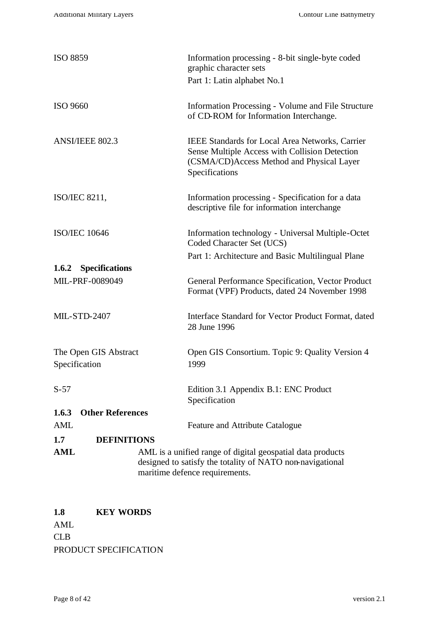| <b>ISO 8859</b>                        | Information processing - 8-bit single-byte coded<br>graphic character sets                                                                                              |
|----------------------------------------|-------------------------------------------------------------------------------------------------------------------------------------------------------------------------|
|                                        | Part 1: Latin alphabet No.1                                                                                                                                             |
| <b>ISO 9660</b>                        | Information Processing - Volume and File Structure<br>of CD-ROM for Information Interchange.                                                                            |
| <b>ANSI/IEEE 802.3</b>                 | <b>IEEE Standards for Local Area Networks, Carrier</b><br>Sense Multiple Access with Collision Detection<br>(CSMA/CD)Access Method and Physical Layer<br>Specifications |
| ISO/IEC 8211,                          | Information processing - Specification for a data<br>descriptive file for information interchange                                                                       |
| <b>ISO/IEC 10646</b>                   | Information technology - Universal Multiple-Octet<br>Coded Character Set (UCS)                                                                                          |
|                                        | Part 1: Architecture and Basic Multilingual Plane                                                                                                                       |
| <b>Specifications</b><br>1.6.2         |                                                                                                                                                                         |
| MIL-PRF-0089049                        | General Performance Specification, Vector Product<br>Format (VPF) Products, dated 24 November 1998                                                                      |
| <b>MIL-STD-2407</b>                    | Interface Standard for Vector Product Format, dated<br>28 June 1996                                                                                                     |
| The Open GIS Abstract<br>Specification | Open GIS Consortium. Topic 9: Quality Version 4<br>1999                                                                                                                 |
| $S-57$                                 | Edition 3.1 Appendix B.1: ENC Product<br>Specification                                                                                                                  |
| 1.6.3<br><b>Other References</b>       |                                                                                                                                                                         |
| <b>AML</b>                             | Feature and Attribute Catalogue                                                                                                                                         |
| 1.7<br><b>DEFINITIONS</b>              |                                                                                                                                                                         |
| <b>AML</b>                             | AML is a unified range of digital geospatial data products<br>designed to satisfy the totality of NATO non-navigational<br>maritime defence requirements.               |

**1.8 KEY WORDS** AML CLB PRODUCT SPECIFICATION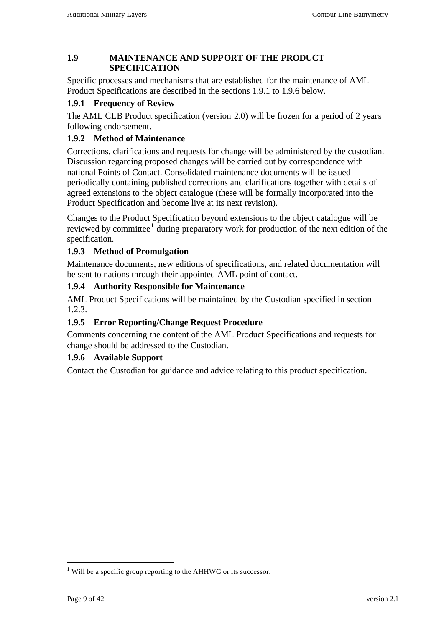#### **1.9 MAINTENANCE AND SUPPORT OF THE PRODUCT SPECIFICATION**

Specific processes and mechanisms that are established for the maintenance of AML Product Specifications are described in the sections 1.9.1 to 1.9.6 below.

## **1.9.1 Frequency of Review**

The AML CLB Product specification (version 2.0) will be frozen for a period of 2 years following endorsement.

## **1.9.2 Method of Maintenance**

Corrections, clarifications and requests for change will be administered by the custodian. Discussion regarding proposed changes will be carried out by correspondence with national Points of Contact. Consolidated maintenance documents will be issued periodically containing published corrections and clarifications together with details of agreed extensions to the object catalogue (these will be formally incorporated into the Product Specification and become live at its next revision).

Changes to the Product Specification beyond extensions to the object catalogue will be reviewed by committee<sup>1</sup> during preparatory work for production of the next edition of the specification.

#### **1.9.3 Method of Promulgation**

Maintenance documents, new editions of specifications, and related documentation will be sent to nations through their appointed AML point of contact.

#### **1.9.4 Authority Responsible for Maintenance**

AML Product Specifications will be maintained by the Custodian specified in section 1.2.3.

## **1.9.5 Error Reporting/Change Request Procedure**

Comments concerning the content of the AML Product Specifications and requests for change should be addressed to the Custodian.

#### **1.9.6 Available Support**

Contact the Custodian for guidance and advice relating to this product specification.

l

 $1$  Will be a specific group reporting to the AHHWG or its successor.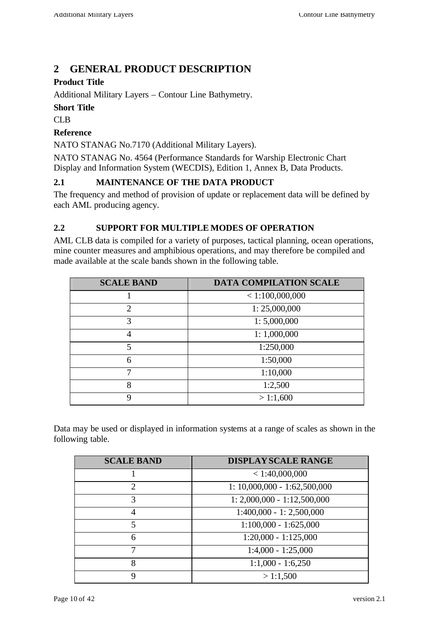# **2 GENERAL PRODUCT DESCRIPTION**

## **Product Title**

Additional Military Layers – Contour Line Bathymetry.

#### **Short Title**

CLB

#### **Reference**

NATO STANAG No.7170 (Additional Military Layers).

NATO STANAG No. 4564 (Performance Standards for Warship Electronic Chart Display and Information System (WECDIS), Edition 1, Annex B, Data Products.

#### **2.1 MAINTENANCE OF THE DATA PRODUCT**

The frequency and method of provision of update or replacement data will be defined by each AML producing agency.

#### **2.2 SUPPORT FOR MULTIPLE MODES OF OPERATION**

AML CLB data is compiled for a variety of purposes, tactical planning, ocean operations, mine counter measures and amphibious operations, and may therefore be compiled and made available at the scale bands shown in the following table.

| <b>SCALE BAND</b> | <b>DATA COMPILATION SCALE</b> |
|-------------------|-------------------------------|
|                   | < 1:100,000,000               |
| 2                 | 1: 25,000,000                 |
| $\mathcal{R}$     | 1: 5,000,000                  |
| 4                 | 1:1,000,000                   |
| 5                 | 1:250,000                     |
| 6                 | 1:50,000                      |
|                   | 1:10,000                      |
| 8                 | 1:2,500                       |
|                   | >1:1,600                      |

Data may be used or displayed in information systems at a range of scales as shown in the following table.

| <b>SCALE BAND</b> | <b>DISPLAY SCALE RANGE</b>     |
|-------------------|--------------------------------|
|                   | $<$ 1:40,000,000               |
| $\overline{2}$    | $1: 10,000,000 - 1:62,500,000$ |
| 3                 | $1: 2,000,000 - 1:12,500,000$  |
| 4                 | $1:400,000 - 1:2,500,000$      |
| 5                 | $1:100,000 - 1:625,000$        |
| 6                 | $1:20,000 - 1:125,000$         |
|                   | $1:4,000 - 1:25,000$           |
| 8                 | $1:1,000 - 1:6,250$            |
| q                 | >1:1,500                       |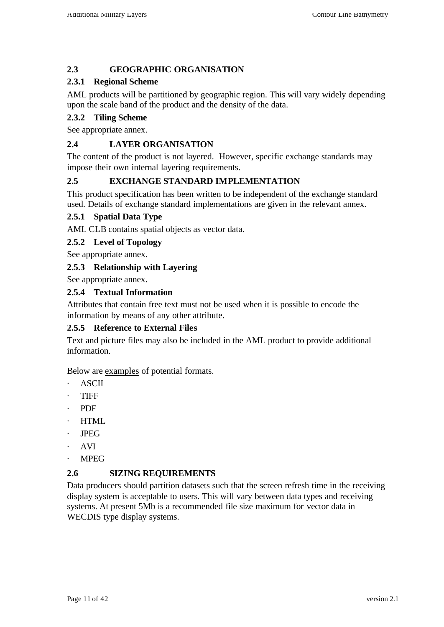## **2.3 GEOGRAPHIC ORGANISATION**

## **2.3.1 Regional Scheme**

AML products will be partitioned by geographic region. This will vary widely depending upon the scale band of the product and the density of the data.

## **2.3.2 Tiling Scheme**

See appropriate annex.

## **2.4 LAYER ORGANISATION**

The content of the product is not layered. However, specific exchange standards may impose their own internal layering requirements.

#### **2.5 EXCHANGE STANDARD IMPLEMENTATION**

This product specification has been written to be independent of the exchange standard used. Details of exchange standard implementations are given in the relevant annex.

#### **2.5.1 Spatial Data Type**

AML CLB contains spatial objects as vector data.

#### **2.5.2 Level of Topology**

See appropriate annex.

#### **2.5.3 Relationship with Layering**

See appropriate annex.

#### **2.5.4 Textual Information**

Attributes that contain free text must not be used when it is possible to encode the information by means of any other attribute.

#### **2.5.5 Reference to External Files**

Text and picture files may also be included in the AML product to provide additional information.

Below are examples of potential formats.

- · ASCII
- · TIFF
- · PDF
- · HTML
- · JPEG
- · AVI
- · MPEG

#### **2.6 SIZING REQUIREMENTS**

Data producers should partition datasets such that the screen refresh time in the receiving display system is acceptable to users. This will vary between data types and receiving systems. At present 5Mb is a recommended file size maximum for vector data in WECDIS type display systems.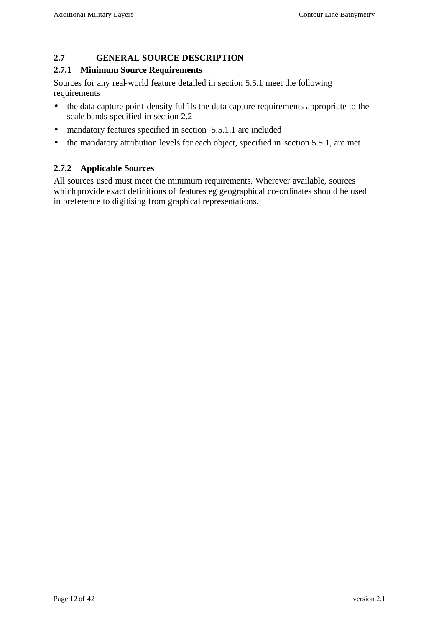#### **2.7 GENERAL SOURCE DESCRIPTION**

#### **2.7.1 Minimum Source Requirements**

Sources for any real-world feature detailed in section 5.5.1 meet the following requirements

- the data capture point-density fulfils the data capture requirements appropriate to the scale bands specified in section 2.2
- mandatory features specified in section 5.5.1.1 are included
- the mandatory attribution levels for each object, specified in section 5.5.1, are met

#### **2.7.2 Applicable Sources**

All sources used must meet the minimum requirements. Wherever available, sources which provide exact definitions of features eg geographical co-ordinates should be used in preference to digitising from graphical representations.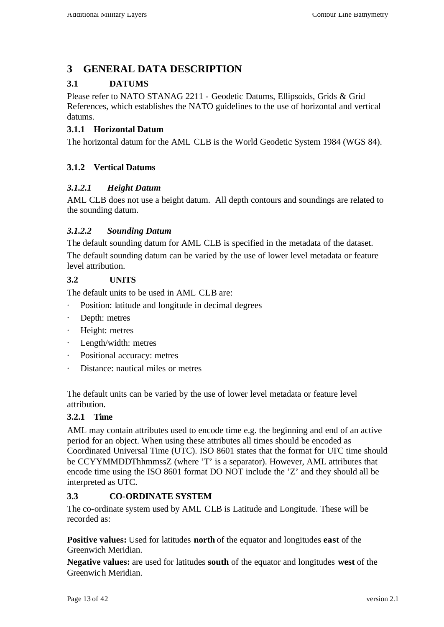# **3 GENERAL DATA DESCRIPTION**

## **3.1 DATUMS**

Please refer to NATO STANAG 2211 - Geodetic Datums, Ellipsoids, Grids & Grid References, which establishes the NATO guidelines to the use of horizontal and vertical datums.

## **3.1.1 Horizontal Datum**

The horizontal datum for the AML CLB is the World Geodetic System 1984 (WGS 84).

## **3.1.2 Vertical Datums**

## *3.1.2.1 Height Datum*

AML CLB does not use a height datum. All depth contours and soundings are related to the sounding datum.

## *3.1.2.2 Sounding Datum*

The default sounding datum for AML CLB is specified in the metadata of the dataset. The default sounding datum can be varied by the use of lower level metadata or feature level attribution.

## **3.2 UNITS**

The default units to be used in AML CLB are:

- · Position: latitude and longitude in decimal degrees
- Depth: metres
- · Height: metres
- Length/width: metres
- · Positional accuracy: metres
- Distance: nautical miles or metres

The default units can be varied by the use of lower level metadata or feature level attribution.

#### **3.2.1 Time**

AML may contain attributes used to encode time e.g. the beginning and end of an active period for an object. When using these attributes all times should be encoded as Coordinated Universal Time (UTC). ISO 8601 states that the format for UTC time should be CCYYMMDDThhmmssZ (where 'T' is a separator). However, AML attributes that encode time using the ISO 8601 format DO NOT include the 'Z' and they should all be interpreted as UTC.

## **3.3 CO-ORDINATE SYSTEM**

The co-ordinate system used by AML CLB is Latitude and Longitude. These will be recorded as:

**Positive values:** Used for latitudes **north** of the equator and longitudes **east** of the Greenwich Meridian.

**Negative values:** are used for latitudes **south** of the equator and longitudes **west** of the Greenwich Meridian.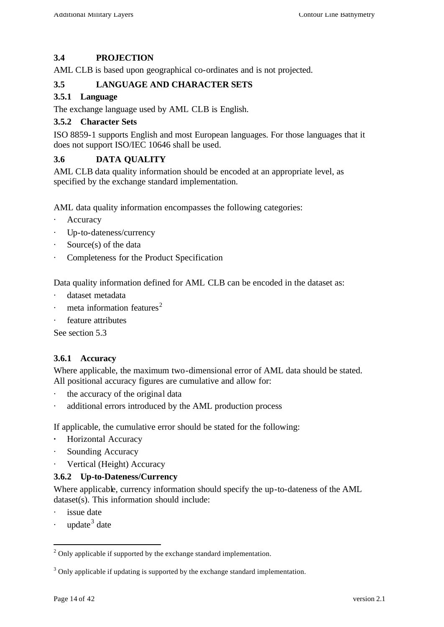## **3.4 PROJECTION**

AML CLB is based upon geographical co-ordinates and is not projected.

#### **3.5 LANGUAGE AND CHARACTER SETS**

#### **3.5.1 Language**

The exchange language used by AML CLB is English.

#### **3.5.2 Character Sets**

ISO 8859-1 supports English and most European languages. For those languages that it does not support ISO/IEC 10646 shall be used.

#### **3.6 DATA QUALITY**

AML CLB data quality information should be encoded at an appropriate level, as specified by the exchange standard implementation.

AML data quality information encompasses the following categories:

- **Accuracy**
- Up-to-dateness/currency
- Source(s) of the data
- Completeness for the Product Specification

Data quality information defined for AML CLB can be encoded in the dataset as:

- dataset metadata
- meta information features<sup>2</sup>
- feature attributes

See section 5.3

#### **3.6.1 Accuracy**

Where applicable, the maximum two-dimensional error of AML data should be stated. All positional accuracy figures are cumulative and allow for:

- the accuracy of the original data
- additional errors introduced by the AML production process

If applicable, the cumulative error should be stated for the following:

- **·** Horizontal Accuracy
- Sounding Accuracy
- Vertical (Height) Accuracy

#### **3.6.2 Up-to-Dateness/Currency**

Where applicable, currency information should specify the up-to-dateness of the AML dataset(s). This information should include:

issue date

l

 $\cdot$  update<sup>3</sup> date

 $2$  Only applicable if supported by the exchange standard implementation.

 $3$  Only applicable if updating is supported by the exchange standard implementation.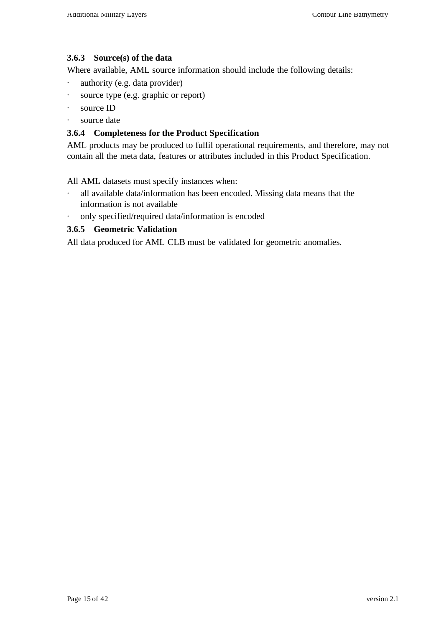#### **3.6.3 Source(s) of the data**

Where available, AML source information should include the following details:

- · authority (e.g. data provider)
- · source type (e.g. graphic or report)
- · source ID
- · source date

#### **3.6.4 Completeness for the Product Specification**

AML products may be produced to fulfil operational requirements, and therefore, may not contain all the meta data, features or attributes included in this Product Specification.

All AML datasets must specify instances when:

- · all available data/information has been encoded. Missing data means that the information is not available
- only specified/required data/information is encoded

#### **3.6.5 Geometric Validation**

All data produced for AML CLB must be validated for geometric anomalies.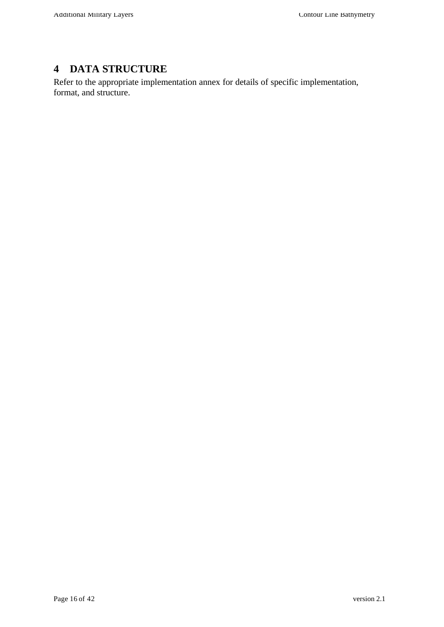# **4 DATA STRUCTURE**

Refer to the appropriate implementation annex for details of specific implementation, format, and structure.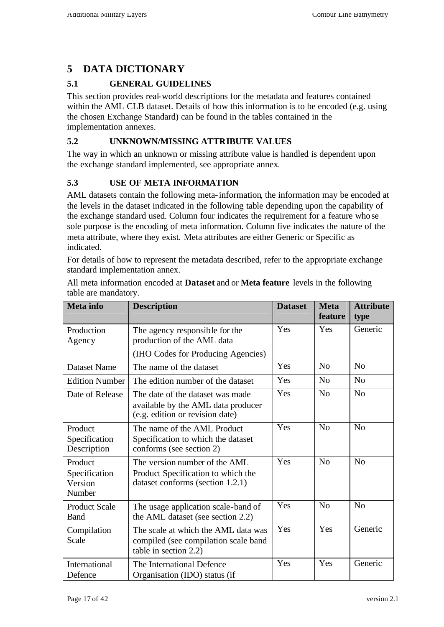# **5 DATA DICTIONARY**

## **5.1 GENERAL GUIDELINES**

This section provides real-world descriptions for the metadata and features contained within the AML CLB dataset. Details of how this information is to be encoded (e.g. using the chosen Exchange Standard) can be found in the tables contained in the implementation annexes.

#### **5.2 UNKNOWN/MISSING ATTRIBUTE VALUES**

The way in which an unknown or missing attribute value is handled is dependent upon the exchange standard implemented, see appropriate annex.

## **5.3 USE OF META INFORMATION**

AML datasets contain the following meta-information, the information may be encoded at the levels in the dataset indicated in the following table depending upon the capability of the exchange standard used. Column four indicates the requirement for a feature whose sole purpose is the encoding of meta information. Column five indicates the nature of the meta attribute, where they exist. Meta attributes are either Generic or Specific as indicated.

For details of how to represent the metadata described, refer to the appropriate exchange standard implementation annex.

| <b>Meta</b> info                              | <b>Description</b>                                                                                        | <b>Dataset</b> | <b>Meta</b><br>feature | <b>Attribute</b><br>type |
|-----------------------------------------------|-----------------------------------------------------------------------------------------------------------|----------------|------------------------|--------------------------|
| Production<br>Agency                          | The agency responsible for the<br>production of the AML data                                              | Yes            | Yes                    | Generic                  |
|                                               | (IHO Codes for Producing Agencies)                                                                        |                |                        |                          |
| <b>Dataset Name</b>                           | The name of the dataset                                                                                   | Yes            | No                     | No                       |
| <b>Edition Number</b>                         | The edition number of the dataset                                                                         | Yes            | N <sub>0</sub>         | No                       |
| Date of Release                               | The date of the dataset was made<br>available by the AML data producer<br>(e.g. edition or revision date) | Yes            | No                     | No                       |
| Product<br>Specification<br>Description       | The name of the AML Product<br>Specification to which the dataset<br>conforms (see section 2)             | Yes            | No                     | No                       |
| Product<br>Specification<br>Version<br>Number | The version number of the AML<br>Product Specification to which the<br>dataset conforms (section 1.2.1)   | Yes            | N <sub>o</sub>         | No                       |
| <b>Product Scale</b><br><b>Band</b>           | The usage application scale-band of<br>the AML dataset (see section 2.2)                                  | Yes            | N <sub>0</sub>         | No                       |
| Compilation<br>Scale                          | The scale at which the AML data was<br>compiled (see compilation scale band<br>table in section 2.2)      | Yes            | Yes                    | Generic                  |
| International<br>Defence                      | The International Defence<br>Organisation (IDO) status (if                                                | Yes            | Yes                    | Generic                  |

All meta information encoded at **Dataset** and or **Meta feature** levels in the following table are mandatory.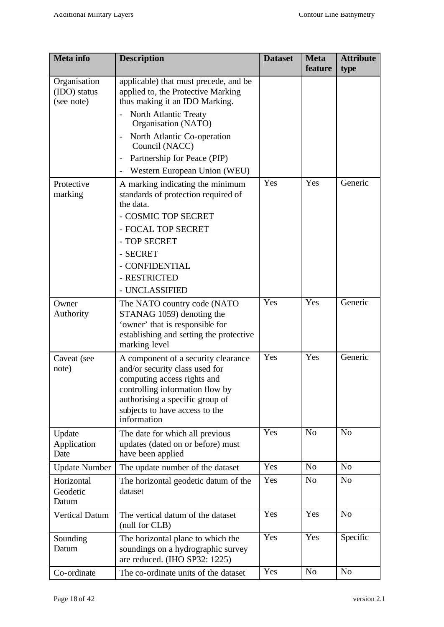| <b>Meta</b> info                           | <b>Description</b>                                                                                                                                                                                                          | <b>Dataset</b> | <b>Meta</b><br>feature | <b>Attribute</b><br>type |
|--------------------------------------------|-----------------------------------------------------------------------------------------------------------------------------------------------------------------------------------------------------------------------------|----------------|------------------------|--------------------------|
| Organisation<br>(IDO) status<br>(see note) | applicable) that must precede, and be<br>applied to, the Protective Marking<br>thus making it an IDO Marking.                                                                                                               |                |                        |                          |
|                                            | <b>North Atlantic Treaty</b><br>Organisation (NATO)                                                                                                                                                                         |                |                        |                          |
|                                            | North Atlantic Co-operation<br>$\qquad \qquad -$<br>Council (NACC)                                                                                                                                                          |                |                        |                          |
|                                            | Partnership for Peace (PfP)<br>$\overline{\phantom{0}}$                                                                                                                                                                     |                |                        |                          |
|                                            | Western European Union (WEU)                                                                                                                                                                                                |                |                        |                          |
| Protective<br>marking                      | A marking indicating the minimum<br>standards of protection required of<br>the data.                                                                                                                                        | Yes            | Yes                    | Generic                  |
|                                            | - COSMIC TOP SECRET                                                                                                                                                                                                         |                |                        |                          |
|                                            | - FOCAL TOP SECRET                                                                                                                                                                                                          |                |                        |                          |
|                                            | - TOP SECRET                                                                                                                                                                                                                |                |                        |                          |
|                                            | - SECRET                                                                                                                                                                                                                    |                |                        |                          |
|                                            | - CONFIDENTIAL<br>- RESTRICTED                                                                                                                                                                                              |                |                        |                          |
|                                            | - UNCLASSIFIED                                                                                                                                                                                                              |                |                        |                          |
| Owner                                      | The NATO country code (NATO                                                                                                                                                                                                 | Yes            | Yes                    | Generic                  |
| Authority                                  | STANAG 1059) denoting the<br>'owner' that is responsible for<br>establishing and setting the protective<br>marking level                                                                                                    |                |                        |                          |
| Caveat (see<br>note)                       | A component of a security clearance<br>and/or security class used for<br>computing access rights and<br>controlling information flow by<br>authorising a specific group of<br>subjects to have access to the<br>information | Yes            | Yes                    | Generic                  |
| Update<br>Application<br>Date              | The date for which all previous<br>updates (dated on or before) must<br>have been applied                                                                                                                                   | Yes            | N <sub>o</sub>         | N <sub>o</sub>           |
| <b>Update Number</b>                       | The update number of the dataset                                                                                                                                                                                            | Yes            | N <sub>o</sub>         | N <sub>o</sub>           |
| Horizontal<br>Geodetic<br>Datum            | The horizontal geodetic datum of the<br>dataset                                                                                                                                                                             | Yes            | N <sub>o</sub>         | N <sub>o</sub>           |
| <b>Vertical Datum</b>                      | The vertical datum of the dataset<br>(null for CLB)                                                                                                                                                                         | Yes            | Yes                    | N <sub>o</sub>           |
| Sounding<br>Datum                          | The horizontal plane to which the<br>soundings on a hydrographic survey<br>are reduced. (IHO SP32: 1225)                                                                                                                    | Yes            | Yes                    | Specific                 |
| Co-ordinate                                | The co-ordinate units of the dataset                                                                                                                                                                                        | Yes            | No                     | N <sub>o</sub>           |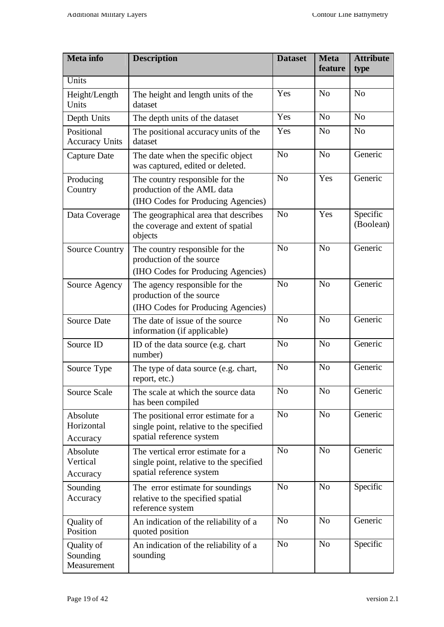| <b>Meta</b> info                      | <b>Description</b>                                                                                         | <b>Dataset</b> | Meta<br>feature | <b>Attribute</b><br>type |
|---------------------------------------|------------------------------------------------------------------------------------------------------------|----------------|-----------------|--------------------------|
| Units                                 |                                                                                                            |                |                 |                          |
| Height/Length<br>Units                | The height and length units of the<br>dataset                                                              | Yes            | N <sub>o</sub>  | N <sub>o</sub>           |
| Depth Units                           | The depth units of the dataset                                                                             | Yes            | N <sub>o</sub>  | N <sub>o</sub>           |
| Positional<br><b>Accuracy Units</b>   | The positional accuracy units of the<br>dataset                                                            | Yes            | N <sub>o</sub>  | N <sub>o</sub>           |
| Capture Date                          | The date when the specific object<br>was captured, edited or deleted.                                      | N <sub>o</sub> | N <sub>o</sub>  | Generic                  |
| Producing<br>Country                  | The country responsible for the<br>production of the AML data<br>(IHO Codes for Producing Agencies)        | N <sub>o</sub> | Yes             | Generic                  |
| Data Coverage                         | The geographical area that describes<br>the coverage and extent of spatial<br>objects                      | N <sub>o</sub> | Yes             | Specific<br>(Boolean)    |
| <b>Source Country</b>                 | The country responsible for the<br>production of the source<br>(IHO Codes for Producing Agencies)          | N <sub>o</sub> | N <sub>o</sub>  | Generic                  |
| Source Agency                         | The agency responsible for the<br>production of the source<br>(IHO Codes for Producing Agencies)           | N <sub>o</sub> | N <sub>o</sub>  | Generic                  |
| Source Date                           | The date of issue of the source<br>information (if applicable)                                             | N <sub>o</sub> | N <sub>o</sub>  | Generic                  |
| Source ID                             | ID of the data source (e.g. chart<br>number)                                                               | N <sub>o</sub> | N <sub>o</sub>  | Generic                  |
| Source Type                           | The type of data source (e.g. chart,<br>report, etc.)                                                      | N <sub>o</sub> | N <sub>o</sub>  | Generic                  |
| Source Scale                          | The scale at which the source data<br>has been compiled                                                    | N <sub>o</sub> | N <sub>o</sub>  | Generic                  |
| Absolute<br>Horizontal<br>Accuracy    | The positional error estimate for a<br>single point, relative to the specified<br>spatial reference system | N <sub>0</sub> | N <sub>o</sub>  | Generic                  |
| Absolute<br>Vertical<br>Accuracy      | The vertical error estimate for a<br>single point, relative to the specified<br>spatial reference system   | N <sub>o</sub> | N <sub>0</sub>  | Generic                  |
| Sounding<br>Accuracy                  | The error estimate for soundings<br>relative to the specified spatial<br>reference system                  | N <sub>o</sub> | N <sub>o</sub>  | Specific                 |
| Quality of<br>Position                | An indication of the reliability of a<br>quoted position                                                   | N <sub>o</sub> | N <sub>o</sub>  | Generic                  |
| Quality of<br>Sounding<br>Measurement | An indication of the reliability of a<br>sounding                                                          | N <sub>o</sub> | N <sub>o</sub>  | Specific                 |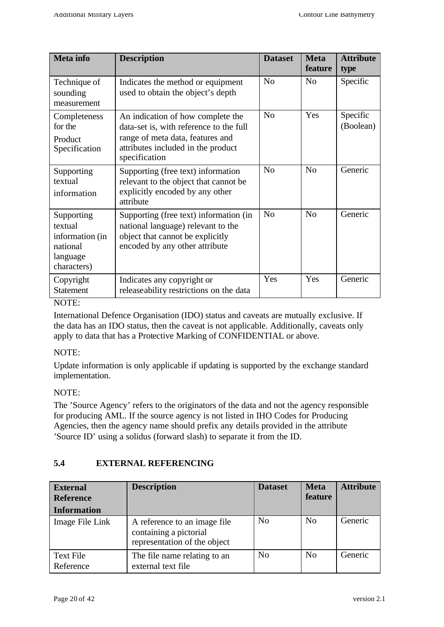| <b>Meta</b> info                                                                | <b>Description</b>                                                                                                                                                      | <b>Dataset</b> | <b>Meta</b><br>feature | <b>Attribute</b><br>type |
|---------------------------------------------------------------------------------|-------------------------------------------------------------------------------------------------------------------------------------------------------------------------|----------------|------------------------|--------------------------|
| Technique of<br>sounding<br>measurement                                         | Indicates the method or equipment<br>used to obtain the object's depth                                                                                                  | No             | No                     | Specific                 |
| Completeness<br>for the<br>Product<br>Specification                             | An indication of how complete the<br>data-set is, with reference to the full<br>range of meta data, features and<br>attributes included in the product<br>specification | N <sub>o</sub> | Yes                    | Specific<br>(Boolean)    |
| Supporting<br>textual<br>information                                            | Supporting (free text) information<br>relevant to the object that cannot be<br>explicitly encoded by any other<br>attribute                                             | No             | N <sub>0</sub>         | Generic                  |
| Supporting<br>textual<br>information (in<br>national<br>language<br>characters) | Supporting (free text) information (in<br>national language) relevant to the<br>object that cannot be explicitly<br>encoded by any other attribute                      | No             | N <sub>o</sub>         | Generic                  |
| Copyright<br><b>Statement</b>                                                   | Indicates any copyright or<br>releaseability restrictions on the data                                                                                                   | Yes            | Yes                    | Generic                  |

#### NOTE:

International Defence Organisation (IDO) status and caveats are mutually exclusive. If the data has an IDO status, then the caveat is not applicable. Additionally, caveats only apply to data that has a Protective Marking of CONFIDENTIAL or above.

#### NOTE:

Update information is only applicable if updating is supported by the exchange standard implementation.

#### NOTE:

The 'Source Agency' refers to the originators of the data and not the agency responsible for producing AML. If the source agency is not listed in IHO Codes for Producing Agencies, then the agency name should prefix any details provided in the attribute 'Source ID' using a solidus (forward slash) to separate it from the ID.

#### **5.4 EXTERNAL REFERENCING**

| <b>External</b><br><b>Reference</b><br><b>Information</b> | <b>Description</b>                                                                     | <b>Dataset</b> | <b>Meta</b><br>feature | <b>Attribute</b> |
|-----------------------------------------------------------|----------------------------------------------------------------------------------------|----------------|------------------------|------------------|
| Image File Link                                           | A reference to an image file<br>containing a pictorial<br>representation of the object | No             | N <sub>0</sub>         | Generic          |
| <b>Text File</b><br>Reference                             | The file name relating to an<br>external text file                                     | N <sub>0</sub> | N <sub>0</sub>         | Generic          |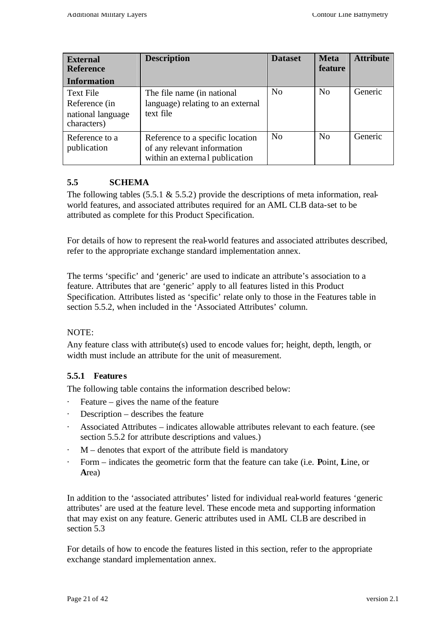| <b>External</b><br><b>Reference</b><br><b>Information</b>             | <b>Description</b>                                                                                | <b>Dataset</b> | <b>Meta</b><br>feature | <b>Attribute</b> |
|-----------------------------------------------------------------------|---------------------------------------------------------------------------------------------------|----------------|------------------------|------------------|
| <b>Text File</b><br>Reference (in<br>national language<br>characters) | The file name (in national<br>language) relating to an external<br>text file                      | N <sub>0</sub> | N <sub>0</sub>         | Generic          |
| Reference to a<br>publication                                         | Reference to a specific location<br>of any relevant information<br>within an external publication | No             | N <sub>0</sub>         | Generic          |

#### **5.5 SCHEMA**

The following tables  $(5.5.1 \& 5.5.2)$  provide the descriptions of meta information, realworld features, and associated attributes required for an AML CLB data-set to be attributed as complete for this Product Specification.

For details of how to represent the real-world features and associated attributes described, refer to the appropriate exchange standard implementation annex.

The terms 'specific' and 'generic' are used to indicate an attribute's association to a feature. Attributes that are 'generic' apply to all features listed in this Product Specification. Attributes listed as 'specific' relate only to those in the Features table in section 5.5.2, when included in the 'Associated Attributes' column.

#### NOTE:

Any feature class with attribute(s) used to encode values for; height, depth, length, or width must include an attribute for the unit of measurement.

#### **5.5.1 Features**

The following table contains the information described below:

- · Feature gives the name of the feature
- · Description describes the feature
- Associated Attributes indicates allowable attributes relevant to each feature. (see section 5.5.2 for attribute descriptions and values.)
- $M$  denotes that export of the attribute field is mandatory
- · Form indicates the geometric form that the feature can take (i.e. **P**oint, **L**ine, or **A**rea)

In addition to the 'associated attributes' listed for individual real-world features 'generic attributes' are used at the feature level. These encode meta and supporting information that may exist on any feature. Generic attributes used in AML CLB are described in section 5.3

For details of how to encode the features listed in this section, refer to the appropriate exchange standard implementation annex.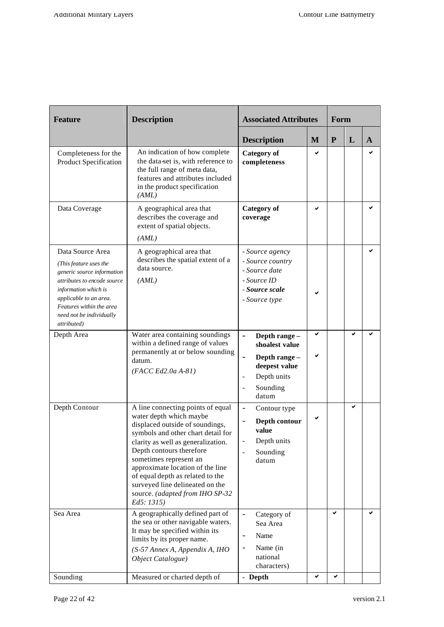| <b>Feature</b>                                                                                                                                                                                                                   | <b>Description</b>                                                                                                                                                                                                                                                                                                                                                                            | <b>Associated Attributes</b>                                                                                                                                            |        | Form         |   |   |
|----------------------------------------------------------------------------------------------------------------------------------------------------------------------------------------------------------------------------------|-----------------------------------------------------------------------------------------------------------------------------------------------------------------------------------------------------------------------------------------------------------------------------------------------------------------------------------------------------------------------------------------------|-------------------------------------------------------------------------------------------------------------------------------------------------------------------------|--------|--------------|---|---|
|                                                                                                                                                                                                                                  |                                                                                                                                                                                                                                                                                                                                                                                               | <b>Description</b>                                                                                                                                                      | M      | $\mathbf{P}$ | L | A |
| Completeness for the<br>Product Specification                                                                                                                                                                                    | An indication of how complete<br>the data-set is, with reference to<br>the full range of meta data,<br>features and attributes included<br>in the product specification<br>(AML)                                                                                                                                                                                                              | <b>Category</b> of<br>completeness                                                                                                                                      | ✔      |              |   | ◡ |
| Data Coverage                                                                                                                                                                                                                    | A geographical area that<br>describes the coverage and<br>extent of spatial objects.<br>(AML)                                                                                                                                                                                                                                                                                                 | <b>Category</b> of<br>coverage                                                                                                                                          | ✔      |              |   |   |
| Data Source Area<br>(This feature uses the<br>generic source information<br>attributes to encode source<br>information which is<br>applicable to an area.<br>Features within the area<br>need not be individually<br>attributed) | A geographical area that<br>describes the spatial extent of a<br>data source.<br>(AML)                                                                                                                                                                                                                                                                                                        | - Source agency<br>- Source country<br>- Source date<br>- Source ID<br>- Source scale<br>- Source type                                                                  |        |              |   | ✓ |
| Depth Area                                                                                                                                                                                                                       | Water area containing soundings<br>within a defined range of values<br>permanently at or below sounding<br>datum.<br>$(FACC Ed2.0a A-81)$                                                                                                                                                                                                                                                     | L.<br>Depth range -<br>shoalest value<br>Depth range -<br>$\blacksquare$<br>deepest value<br>Depth units<br>$\qquad \qquad \blacksquare$<br>Sounding<br>$\Box$<br>datum | ✔<br>✔ |              |   |   |
| Depth Contour                                                                                                                                                                                                                    | A line connecting points of equal<br>water depth which maybe<br>displaced outside of soundings,<br>symbols and other chart detail for<br>clarity as well as generalization.<br>Depth contours therefore<br>sometimes represent an<br>approximate location of the line<br>of equal depth as related to the<br>surveyed line delineated on the<br>source. (adapted from IHO SP-32<br>Ed5: 1315) | $\overline{\phantom{m}}$<br>Contour type<br>Depth contour<br>value<br>Depth units<br>Sounding<br>datum                                                                  |        |              | ✓ |   |
| Sea Area                                                                                                                                                                                                                         | A geographically defined part of<br>the sea or other navigable waters.<br>It may be specified within its<br>limits by its proper name.<br>(S-57 Annex A, Appendix A, IHO<br>Object Catalogue)                                                                                                                                                                                                 | $\overline{a}$<br>Category of<br>Sea Area<br>Name<br>$\overline{\phantom{a}}$<br>Name (in<br>$\overline{\phantom{a}}$<br>national<br>characters)                        |        | ✔            |   |   |
| Sounding                                                                                                                                                                                                                         | Measured or charted depth of                                                                                                                                                                                                                                                                                                                                                                  | - Depth                                                                                                                                                                 | ✔      | ✔            |   |   |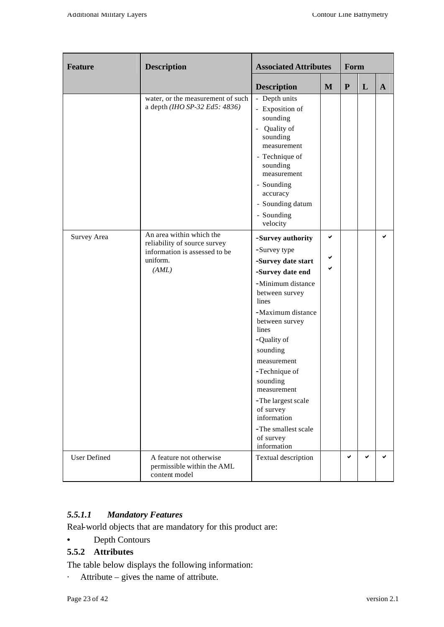| Feature             | <b>Description</b>                                                                                             | <b>Associated Attributes</b>                                                                                                                                                                                                                                                                                                                                           |   | Form      |   |              |
|---------------------|----------------------------------------------------------------------------------------------------------------|------------------------------------------------------------------------------------------------------------------------------------------------------------------------------------------------------------------------------------------------------------------------------------------------------------------------------------------------------------------------|---|-----------|---|--------------|
|                     |                                                                                                                | <b>Description</b>                                                                                                                                                                                                                                                                                                                                                     | M | ${\bf P}$ | L | $\mathbf{A}$ |
|                     | water, or the measurement of such<br>a depth (IHO SP-32 Ed5: 4836)                                             | - Depth units<br>- Exposition of<br>sounding<br>Quality of<br>sounding<br>measurement<br>- Technique of<br>sounding<br>measurement<br>- Sounding<br>accuracy<br>- Sounding datum<br>- Sounding<br>velocity                                                                                                                                                             |   |           |   |              |
| Survey Area         | An area within which the<br>reliability of source survey<br>information is assessed to be<br>uniform.<br>(AML) | -Survey authority<br>-Survey type<br>-Survey date start<br>-Survey date end<br>-Minimum distance<br>between survey<br>lines<br>-Maximum distance<br>between survey<br>lines<br>-Quality of<br>sounding<br>measurement<br>-Technique of<br>sounding<br>measurement<br>-The largest scale<br>of survey<br>information<br>-The smallest scale<br>of survey<br>information | ✓ |           |   | ✓            |
| <b>User Defined</b> | A feature not otherwise<br>permissible within the AML<br>content model                                         | Textual description                                                                                                                                                                                                                                                                                                                                                    |   | ✓         |   | ✔            |

## *5.5.1.1 Mandatory Features*

Real-world objects that are mandatory for this product are:

• Depth Contours

# **5.5.2 Attributes**

The table below displays the following information:

· Attribute – gives the name of attribute.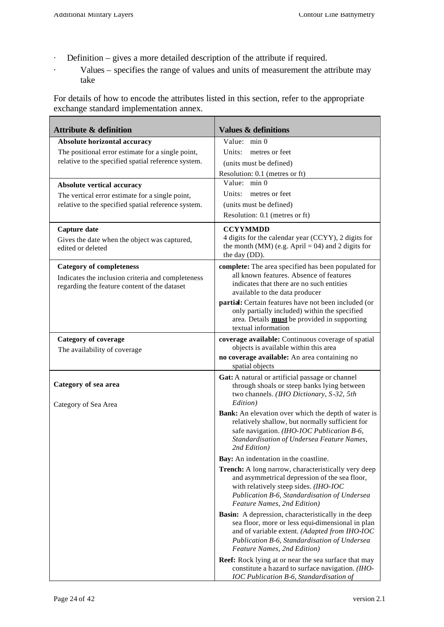- · Definition gives a more detailed description of the attribute if required.
- · Values specifies the range of values and units of measurement the attribute may take

For details of how to encode the attributes listed in this section, refer to the appropriate exchange standard implementation annex.

| <b>Attribute &amp; definition</b>                                                                      | <b>Values &amp; definitions</b>                                                                   |
|--------------------------------------------------------------------------------------------------------|---------------------------------------------------------------------------------------------------|
| Absolute horizontal accuracy                                                                           | Value: min 0                                                                                      |
| The positional error estimate for a single point,                                                      | Units:<br>metres or feet                                                                          |
| relative to the specified spatial reference system.                                                    | (units must be defined)                                                                           |
|                                                                                                        | Resolution: 0.1 (metres or ft)                                                                    |
| Absolute vertical accuracy                                                                             | Value: min 0                                                                                      |
| The vertical error estimate for a single point,<br>relative to the specified spatial reference system. | metres or feet<br>Units:                                                                          |
|                                                                                                        | (units must be defined)<br>Resolution: 0.1 (metres or ft)                                         |
|                                                                                                        |                                                                                                   |
| Capture date                                                                                           | <b>CCYYMMDD</b><br>4 digits for the calendar year (CCYY), 2 digits for                            |
| Gives the date when the object was captured,<br>edited or deleted                                      | the month (MM) (e.g. April = 04) and 2 digits for                                                 |
|                                                                                                        | the day (DD).                                                                                     |
| <b>Category of completeness</b>                                                                        | complete: The area specified has been populated for                                               |
| Indicates the inclusion criteria and completeness                                                      | all known features. Absence of features                                                           |
| regarding the feature content of the dataset                                                           | indicates that there are no such entities<br>available to the data producer                       |
|                                                                                                        | partial: Certain features have not been included (or                                              |
|                                                                                                        | only partially included) within the specified                                                     |
|                                                                                                        | area. Details <b>must</b> be provided in supporting<br>textual information                        |
| <b>Category of coverage</b>                                                                            | coverage available: Continuous coverage of spatial                                                |
| The availability of coverage                                                                           | objects is available within this area                                                             |
|                                                                                                        | no coverage available: An area containing no                                                      |
|                                                                                                        | spatial objects                                                                                   |
| Category of sea area                                                                                   | Gat: A natural or artificial passage or channel                                                   |
|                                                                                                        | through shoals or steep banks lying between<br>two channels. (IHO Dictionary, S-32, 5th           |
| Category of Sea Area                                                                                   | Edition)                                                                                          |
|                                                                                                        | Bank: An elevation over which the depth of water is                                               |
|                                                                                                        | relatively shallow, but normally sufficient for                                                   |
|                                                                                                        | safe navigation. (IHO-IOC Publication B-6,<br>Standardisation of Undersea Feature Names,          |
|                                                                                                        | 2nd Edition)                                                                                      |
|                                                                                                        | Bay: An indentation in the coastline.                                                             |
|                                                                                                        | <b>Trench:</b> A long narrow, characteristically very deep                                        |
|                                                                                                        | and asymmetrical depression of the sea floor,<br>with relatively steep sides. (IHO-IOC            |
|                                                                                                        | Publication B-6, Standardisation of Undersea                                                      |
|                                                                                                        | Feature Names, 2nd Edition)                                                                       |
|                                                                                                        | <b>Basin:</b> A depression, characteristically in the deep                                        |
|                                                                                                        | sea floor, more or less equi-dimensional in plan<br>and of variable extent. (Adapted from IHO-IOC |
|                                                                                                        | Publication B-6, Standardisation of Undersea                                                      |
|                                                                                                        | Feature Names, 2nd Edition)                                                                       |
|                                                                                                        | <b>Reef:</b> Rock lying at or near the sea surface that may                                       |
|                                                                                                        | constitute a hazard to surface navigation. (IHO-<br>IOC Publication B-6, Standardisation of       |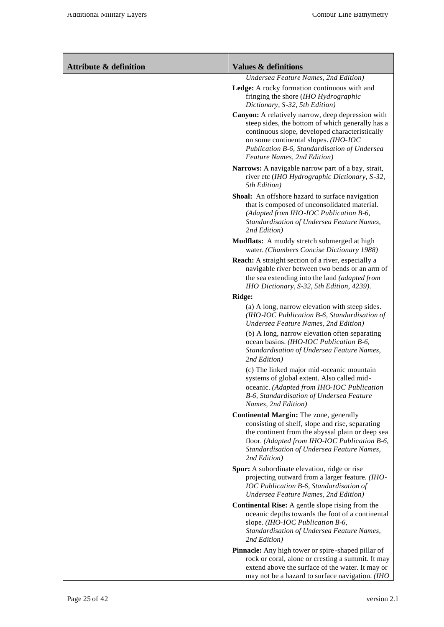| <b>Attribute &amp; definition</b> | <b>Values &amp; definitions</b>                                                                                                                                                                                                                                                |
|-----------------------------------|--------------------------------------------------------------------------------------------------------------------------------------------------------------------------------------------------------------------------------------------------------------------------------|
|                                   | Undersea Feature Names, 2nd Edition)                                                                                                                                                                                                                                           |
|                                   | Ledge: A rocky formation continuous with and<br>fringing the shore (IHO Hydrographic<br>Dictionary, S-32, 5th Edition)                                                                                                                                                         |
|                                   | Canyon: A relatively narrow, deep depression with<br>steep sides, the bottom of which generally has a<br>continuous slope, developed characteristically<br>on some continental slopes. (IHO-IOC<br>Publication B-6, Standardisation of Undersea<br>Feature Names, 2nd Edition) |
|                                   | Narrows: A navigable narrow part of a bay, strait,<br>river etc (IHO Hydrographic Dictionary, S-32,<br>5th Edition)                                                                                                                                                            |
|                                   | Shoal: An offshore hazard to surface navigation<br>that is composed of unconsolidated material.<br>(Adapted from IHO-IOC Publication B-6,<br>Standardisation of Undersea Feature Names,<br>2nd Edition)                                                                        |
|                                   | Mudflats: A muddy stretch submerged at high<br>water. (Chambers Concise Dictionary 1988)                                                                                                                                                                                       |
|                                   | <b>Reach:</b> A straight section of a river, especially a<br>navigable river between two bends or an arm of<br>the sea extending into the land (adapted from<br>IHO Dictionary, S-32, 5th Edition, 4239).                                                                      |
|                                   | Ridge:                                                                                                                                                                                                                                                                         |
|                                   | (a) A long, narrow elevation with steep sides.<br>(IHO-IOC Publication B-6, Standardisation of<br>Undersea Feature Names, 2nd Edition)                                                                                                                                         |
|                                   | (b) A long, narrow elevation often separating<br>ocean basins. (IHO-IOC Publication B-6,<br>Standardisation of Undersea Feature Names,<br>2nd Edition)                                                                                                                         |
|                                   | (c) The linked major mid-oceanic mountain<br>systems of global extent. Also called mid-<br>oceanic. (Adapted from IHO-IOC Publication<br>B-6, Standardisation of Undersea Feature<br>Names, 2nd Edition)                                                                       |
|                                   | Continental Margin: The zone, generally<br>consisting of shelf, slope and rise, separating<br>the continent from the abyssal plain or deep sea<br>floor. (Adapted from IHO-IOC Publication B-6,<br>Standardisation of Undersea Feature Names,<br>2nd Edition)                  |
|                                   | Spur: A subordinate elevation, ridge or rise<br>projecting outward from a larger feature. (IHO-<br>IOC Publication B-6, Standardisation of<br>Undersea Feature Names, 2nd Edition)                                                                                             |
|                                   | <b>Continental Rise:</b> A gentle slope rising from the<br>oceanic depths towards the foot of a continental<br>slope. (IHO-IOC Publication B-6,<br>Standardisation of Undersea Feature Names,<br>2nd Edition)                                                                  |
|                                   | Pinnacle: Any high tower or spire-shaped pillar of<br>rock or coral, alone or cresting a summit. It may                                                                                                                                                                        |
|                                   | extend above the surface of the water. It may or<br>may not be a hazard to surface navigation. (IHO                                                                                                                                                                            |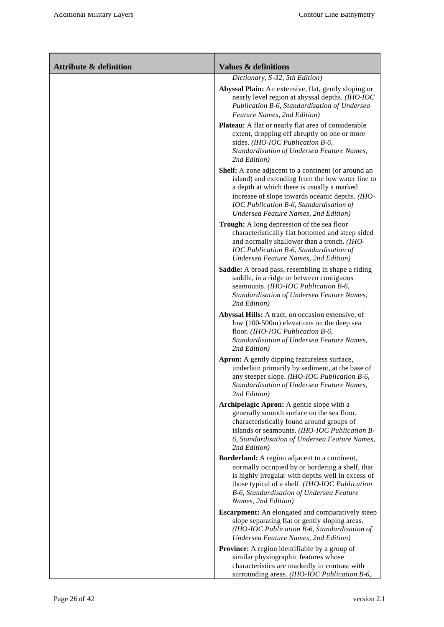| <b>Attribute &amp; definition</b> | <b>Values &amp; definitions</b>                                                                                                                                                                                                                                                             |
|-----------------------------------|---------------------------------------------------------------------------------------------------------------------------------------------------------------------------------------------------------------------------------------------------------------------------------------------|
|                                   | Dictionary, S-32, 5th Edition)                                                                                                                                                                                                                                                              |
|                                   | Abyssal Plain: An extensive, flat, gently sloping or<br>nearly level region at abyssal depths. (IHO-IOC<br>Publication B-6, Standardisation of Undersea<br>Feature Names, 2nd Edition)                                                                                                      |
|                                   | <b>Plateau:</b> A flat or nearly flat area of considerable<br>extent, dropping off abruptly on one or more<br>sides. (IHO-IOC Publication B-6,<br>Standardisation of Undersea Feature Names,<br>2nd Edition)                                                                                |
|                                   | Shelf: A zone adjacent to a continent (or around an<br>island) and extending from the low water line to<br>a depth at which there is usually a marked<br>increase of slope towards oceanic depths. (IHO-<br>IOC Publication B-6, Standardisation of<br>Undersea Feature Names, 2nd Edition) |
|                                   | Trough: A long depression of the sea floor<br>characteristically flat bottomed and steep sided<br>and normally shallower than a trench. (IHO-<br>IOC Publication B-6, Standardisation of<br>Undersea Feature Names, 2nd Edition)                                                            |
|                                   | <b>Saddle:</b> A broad pass, resembling in shape a riding<br>saddle, in a ridge or between contiguous<br>seamounts. (IHO-IOC Publication B-6,<br>Standardisation of Undersea Feature Names,<br>2nd Edition)                                                                                 |
|                                   | Abyssal Hills: A tract, on occasion extensive, of<br>low (100-500m) elevations on the deep sea<br>floor. (IHO-IOC Publication B-6,<br>Standardisation of Undersea Feature Names,<br>2nd Edition)                                                                                            |
|                                   | Apron: A gently dipping featureless surface,<br>underlain primarily by sediment, at the base of<br>any steeper slope. (IHO-IOC Publication B-6,<br>Standardisation of Undersea Feature Names,<br>2nd Edition)                                                                               |
|                                   | Archipelagic Apron: A gentle slope with a<br>generally smooth surface on the sea floor,<br>characteristically found around groups of<br>islands or seamounts. (IHO-IOC Publication B-<br>6, Standardisation of Undersea Feature Names,<br>2nd Edition)                                      |
|                                   | Borderland: A region adjacent to a continent,<br>normally occupied by or bordering a shelf, that<br>is highly irregular with depths well in excess of<br>those typical of a shelf. (IHO-IOC Publication<br>B-6, Standardisation of Undersea Feature<br>Names, 2nd Edition)                  |
|                                   | <b>Escarpment:</b> An elongated and comparatively steep<br>slope separating flat or gently sloping areas.<br>(IHO-IOC Publication B-6, Standardisation of<br>Undersea Feature Names, 2nd Edition)                                                                                           |
|                                   | Province: A region identifiable by a group of<br>similar physiographic features whose<br>characteristics are markedly in contrast with<br>surrounding areas. (IHO-IOC Publication B-6,                                                                                                      |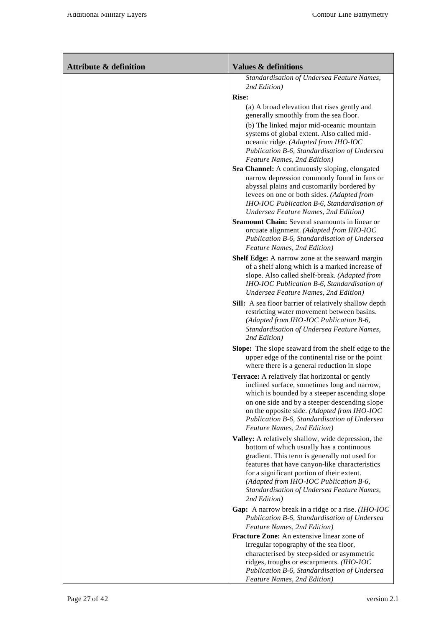| <b>Attribute &amp; definition</b> | <b>Values &amp; definitions</b>                                                                                                                                                                                                                                                                                                                         |
|-----------------------------------|---------------------------------------------------------------------------------------------------------------------------------------------------------------------------------------------------------------------------------------------------------------------------------------------------------------------------------------------------------|
|                                   | Standardisation of Undersea Feature Names,                                                                                                                                                                                                                                                                                                              |
|                                   | 2nd Edition)<br><b>Rise:</b>                                                                                                                                                                                                                                                                                                                            |
|                                   | (a) A broad elevation that rises gently and<br>generally smoothly from the sea floor.                                                                                                                                                                                                                                                                   |
|                                   | (b) The linked major mid-oceanic mountain<br>systems of global extent. Also called mid-<br>oceanic ridge. (Adapted from IHO-IOC<br>Publication B-6, Standardisation of Undersea<br>Feature Names, 2nd Edition)                                                                                                                                          |
|                                   | Sea Channel: A continuously sloping, elongated<br>narrow depression commonly found in fans or<br>abyssal plains and customarily bordered by<br>levees on one or both sides. (Adapted from<br>IHO-IOC Publication B-6, Standardisation of<br>Undersea Feature Names, 2nd Edition)                                                                        |
|                                   | Seamount Chain: Several seamounts in linear or<br>orcuate alignment. (Adapted from IHO-IOC<br>Publication B-6, Standardisation of Undersea<br>Feature Names, 2nd Edition)                                                                                                                                                                               |
|                                   | Shelf Edge: A narrow zone at the seaward margin<br>of a shelf along which is a marked increase of<br>slope. Also called shelf-break. (Adapted from<br>IHO-IOC Publication B-6, Standardisation of<br>Undersea Feature Names, 2nd Edition)                                                                                                               |
|                                   | Sill: A sea floor barrier of relatively shallow depth<br>restricting water movement between basins.<br>(Adapted from IHO-IOC Publication B-6,<br>Standardisation of Undersea Feature Names,<br>2nd Edition)                                                                                                                                             |
|                                   | Slope: The slope seaward from the shelf edge to the<br>upper edge of the continental rise or the point<br>where there is a general reduction in slope                                                                                                                                                                                                   |
|                                   | <b>Terrace:</b> A relatively flat horizontal or gently<br>inclined surface, sometimes long and narrow,<br>which is bounded by a steeper ascending slope<br>on one side and by a steeper descending slope<br>on the opposite side. (Adapted from IHO-IOC<br>Publication B-6, Standardisation of Undersea<br>Feature Names, 2nd Edition)                  |
|                                   | Valley: A relatively shallow, wide depression, the<br>bottom of which usually has a continuous<br>gradient. This term is generally not used for<br>features that have canyon-like characteristics<br>for a significant portion of their extent.<br>(Adapted from IHO-IOC Publication B-6,<br>Standardisation of Undersea Feature Names,<br>2nd Edition) |
|                                   | Gap: A narrow break in a ridge or a rise. (IHO-IOC<br>Publication B-6, Standardisation of Undersea<br>Feature Names, 2nd Edition)                                                                                                                                                                                                                       |
|                                   | Fracture Zone: An extensive linear zone of<br>irregular topography of the sea floor,<br>characterised by steep-sided or asymmetric<br>ridges, troughs or escarpments. (IHO-IOC<br>Publication B-6, Standardisation of Undersea<br>Feature Names, 2nd Edition)                                                                                           |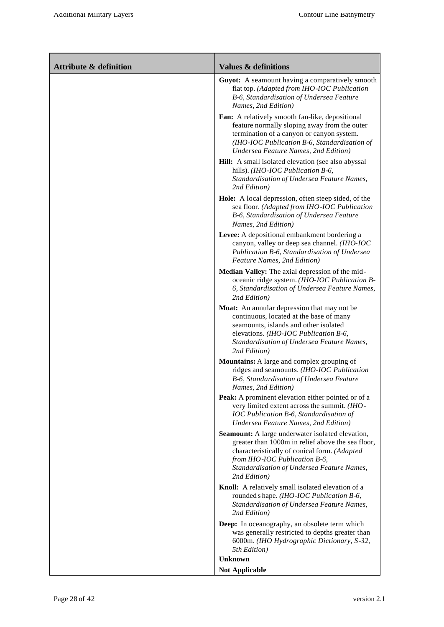| <b>Attribute &amp; definition</b> | <b>Values &amp; definitions</b>                                                                                                                                                                                                                      |
|-----------------------------------|------------------------------------------------------------------------------------------------------------------------------------------------------------------------------------------------------------------------------------------------------|
|                                   | Guyot: A seamount having a comparatively smooth<br>flat top. (Adapted from IHO-IOC Publication<br>B-6, Standardisation of Undersea Feature<br>Names, 2nd Edition)                                                                                    |
|                                   | Fan: A relatively smooth fan-like, depositional<br>feature normally sloping away from the outer<br>termination of a canyon or canyon system.<br>(IHO-IOC Publication B-6, Standardisation of<br>Undersea Feature Names, 2nd Edition)                 |
|                                   | Hill: A small isolated elevation (see also abyssal<br>hills). (IHO-IOC Publication B-6,<br>Standardisation of Undersea Feature Names,<br>2nd Edition)                                                                                                |
|                                   | Hole: A local depression, often steep sided, of the<br>sea floor. (Adapted from IHO-IOC Publication<br>B-6, Standardisation of Undersea Feature<br>Names, 2nd Edition)                                                                               |
|                                   | Levee: A depositional embankment bordering a<br>canyon, valley or deep sea channel. (IHO-IOC<br>Publication B-6, Standardisation of Undersea<br>Feature Names, 2nd Edition)                                                                          |
|                                   | Median Valley: The axial depression of the mid-<br>oceanic ridge system. (IHO-IOC Publication B-<br>6, Standardisation of Undersea Feature Names,<br>2nd Edition)                                                                                    |
|                                   | Moat: An annular depression that may not be<br>continuous, located at the base of many<br>seamounts, islands and other isolated<br>elevations. (IHO-IOC Publication B-6,<br>Standardisation of Undersea Feature Names,<br>2nd Edition)               |
|                                   | Mountains: A large and complex grouping of<br>ridges and seamounts. (IHO-IOC Publication<br>B-6, Standardisation of Undersea Feature<br>Names, 2nd Edition)                                                                                          |
|                                   | Peak: A prominent elevation either pointed or of a<br>very limited extent across the summit. (IHO-<br>IOC Publication B-6, Standardisation of<br>Undersea Feature Names, 2nd Edition)                                                                |
|                                   | Seamount: A large underwater isolated elevation,<br>greater than 1000m in relief above the sea floor,<br>characteristically of conical form. (Adapted<br>from IHO-IOC Publication B-6,<br>Standardisation of Undersea Feature Names,<br>2nd Edition) |
|                                   | Knoll: A relatively small isolated elevation of a<br>rounded s hape. (IHO-IOC Publication B-6,<br>Standardisation of Undersea Feature Names,<br>2nd Edition)                                                                                         |
|                                   | Deep: In oceanography, an obsolete term which<br>was generally restricted to depths greater than<br>6000m. (IHO Hydrographic Dictionary, S-32,<br>5th Edition)                                                                                       |
|                                   | <b>Unknown</b><br><b>Not Applicable</b>                                                                                                                                                                                                              |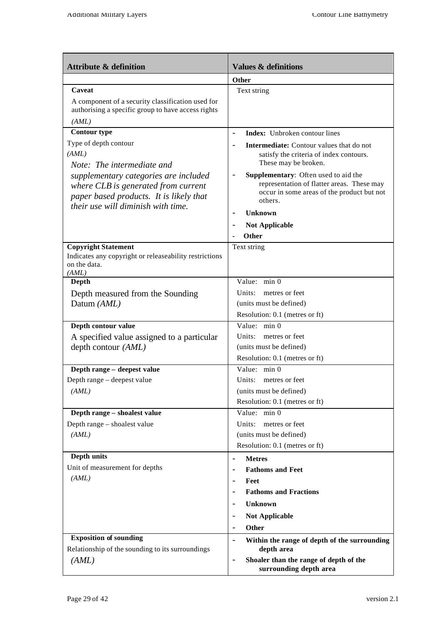| <b>Attribute &amp; definition</b>                                                                                                                             | <b>Values &amp; definitions</b>                                                                                                             |
|---------------------------------------------------------------------------------------------------------------------------------------------------------------|---------------------------------------------------------------------------------------------------------------------------------------------|
|                                                                                                                                                               | <b>Other</b>                                                                                                                                |
| Caveat                                                                                                                                                        | Text string                                                                                                                                 |
| A component of a security classification used for<br>authorising a specific group to have access rights                                                       |                                                                                                                                             |
| (AML)                                                                                                                                                         |                                                                                                                                             |
| <b>Contour type</b>                                                                                                                                           | <b>Index:</b> Unbroken contour lines                                                                                                        |
| Type of depth contour<br>(AML)<br>Note: The intermediate and                                                                                                  | <b>Intermediate:</b> Contour values that do not<br>satisfy the criteria of index contours.<br>These may be broken.                          |
| supplementary categories are included<br>where CLB is generated from current<br>paper based products. It is likely that<br>their use will diminish with time. | Supplementary: Often used to aid the<br>representation of flatter areas. These may<br>occur in some areas of the product but not<br>others. |
|                                                                                                                                                               | <b>Unknown</b>                                                                                                                              |
|                                                                                                                                                               | <b>Not Applicable</b>                                                                                                                       |
|                                                                                                                                                               | Other                                                                                                                                       |
| <b>Copyright Statement</b><br>Indicates any copyright or releaseability restrictions<br>on the data.<br>(AML)                                                 | Text string                                                                                                                                 |
| Depth                                                                                                                                                         | Value: min 0                                                                                                                                |
| Depth measured from the Sounding                                                                                                                              | Units: metres or feet                                                                                                                       |
| Datum (AML)                                                                                                                                                   | (units must be defined)                                                                                                                     |
|                                                                                                                                                               | Resolution: 0.1 (metres or ft)                                                                                                              |
| Depth contour value                                                                                                                                           | Value: min 0                                                                                                                                |
| A specified value assigned to a particular                                                                                                                    | Units: metres or feet                                                                                                                       |
| depth contour (AML)                                                                                                                                           | (units must be defined)                                                                                                                     |
| Depth range - deepest value                                                                                                                                   | Resolution: 0.1 (metres or ft)<br>Value: min 0                                                                                              |
| Depth range – deepest value                                                                                                                                   | Units: metres or feet                                                                                                                       |
| (AML)                                                                                                                                                         | (units must be defined)                                                                                                                     |
|                                                                                                                                                               | Resolution: 0.1 (metres or ft)                                                                                                              |
| Depth range - shoalest value                                                                                                                                  | Value: min 0                                                                                                                                |
| Depth range - shoalest value                                                                                                                                  | Units:<br>metres or feet                                                                                                                    |
| (AML)                                                                                                                                                         | (units must be defined)                                                                                                                     |
|                                                                                                                                                               | Resolution: 0.1 (metres or ft)                                                                                                              |
| Depth units                                                                                                                                                   | <b>Metres</b><br>$\overline{\phantom{a}}$                                                                                                   |
| Unit of measurement for depths                                                                                                                                | <b>Fathoms and Feet</b>                                                                                                                     |
| (AML)                                                                                                                                                         | Feet<br>$\overline{\phantom{a}}$                                                                                                            |
|                                                                                                                                                               | <b>Fathoms and Fractions</b>                                                                                                                |
|                                                                                                                                                               | <b>Unknown</b>                                                                                                                              |
|                                                                                                                                                               | <b>Not Applicable</b><br>$\overline{\phantom{a}}$                                                                                           |
|                                                                                                                                                               | Other<br>$\overline{\phantom{a}}$                                                                                                           |
| <b>Exposition of sounding</b>                                                                                                                                 | Within the range of depth of the surrounding<br>$\overline{\phantom{a}}$                                                                    |
| Relationship of the sounding to its surroundings                                                                                                              | depth area                                                                                                                                  |
| (AML)                                                                                                                                                         | Shoaler than the range of depth of the<br>$\qquad \qquad -$<br>surrounding depth area                                                       |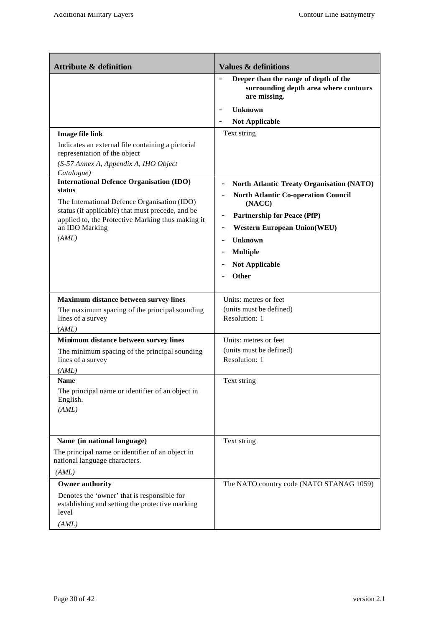| <b>Attribute &amp; definition</b>                                                                                                                             | <b>Values &amp; definitions</b>                                                                                                                                     |
|---------------------------------------------------------------------------------------------------------------------------------------------------------------|---------------------------------------------------------------------------------------------------------------------------------------------------------------------|
|                                                                                                                                                               | Deeper than the range of depth of the<br>surrounding depth area where contours<br>are missing.                                                                      |
|                                                                                                                                                               | Unknown                                                                                                                                                             |
|                                                                                                                                                               | <b>Not Applicable</b>                                                                                                                                               |
| <b>Image file link</b>                                                                                                                                        | Text string                                                                                                                                                         |
| Indicates an external file containing a pictorial<br>representation of the object                                                                             |                                                                                                                                                                     |
| (S-57 Annex A, Appendix A, IHO Object<br>Catalogue)                                                                                                           |                                                                                                                                                                     |
| <b>International Defence Organisation (IDO)</b><br>status<br>The International Defence Organisation (IDO)<br>status (if applicable) that must precede, and be | North Atlantic Treaty Organisation (NATO)<br>$\overline{\phantom{a}}$<br><b>North Atlantic Co-operation Council</b><br>(NACC)<br><b>Partnership for Peace (PfP)</b> |
| applied to, the Protective Marking thus making it<br>an IDO Marking                                                                                           | <b>Western European Union(WEU)</b>                                                                                                                                  |
| (AML)                                                                                                                                                         | Unknown                                                                                                                                                             |
|                                                                                                                                                               | <b>Multiple</b>                                                                                                                                                     |
|                                                                                                                                                               | <b>Not Applicable</b>                                                                                                                                               |
|                                                                                                                                                               | <b>Other</b>                                                                                                                                                        |
|                                                                                                                                                               |                                                                                                                                                                     |
| Maximum distance between survey lines<br>The maximum spacing of the principal sounding<br>lines of a survey<br>(AML)                                          | Units: metres or feet<br>(units must be defined)<br>Resolution: 1                                                                                                   |
| Minimum distance between survey lines                                                                                                                         | Units: metres or feet                                                                                                                                               |
| The minimum spacing of the principal sounding<br>lines of a survey                                                                                            | (units must be defined)<br>Resolution: 1                                                                                                                            |
| (AML)                                                                                                                                                         |                                                                                                                                                                     |
| <b>Name</b><br>The principal name or identifier of an object in<br>English.<br>(AML)                                                                          | Text string                                                                                                                                                         |
|                                                                                                                                                               |                                                                                                                                                                     |
| Name (in national language)                                                                                                                                   | Text string                                                                                                                                                         |
| The principal name or identifier of an object in<br>national language characters.                                                                             |                                                                                                                                                                     |
| (AML)                                                                                                                                                         |                                                                                                                                                                     |
| <b>Owner authority</b>                                                                                                                                        | The NATO country code (NATO STANAG 1059)                                                                                                                            |
| Denotes the 'owner' that is responsible for<br>establishing and setting the protective marking<br>level                                                       |                                                                                                                                                                     |
| (AML)                                                                                                                                                         |                                                                                                                                                                     |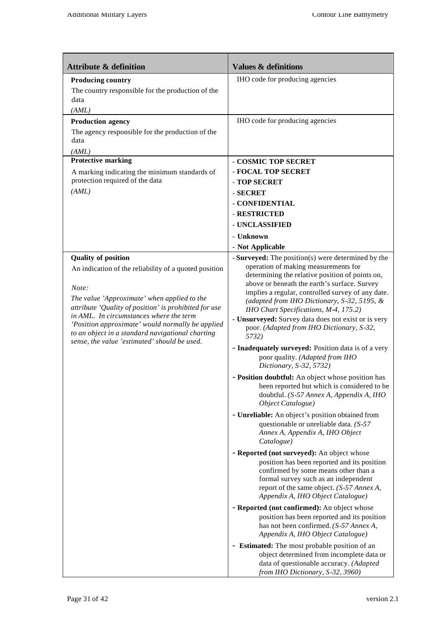| <b>Attribute &amp; definition</b>                                                                                                                                                                                                                                                                                                                                                                       | <b>Values &amp; definitions</b>                                                                                                                                                                                                                                                                                                                                                                                                                                                                                                                                                                                                                                                                                                                                                                                                                                                                                                                                                                                                                                                                                                                                                                                                                                                                                                                                                                                                                                                                                              |
|---------------------------------------------------------------------------------------------------------------------------------------------------------------------------------------------------------------------------------------------------------------------------------------------------------------------------------------------------------------------------------------------------------|------------------------------------------------------------------------------------------------------------------------------------------------------------------------------------------------------------------------------------------------------------------------------------------------------------------------------------------------------------------------------------------------------------------------------------------------------------------------------------------------------------------------------------------------------------------------------------------------------------------------------------------------------------------------------------------------------------------------------------------------------------------------------------------------------------------------------------------------------------------------------------------------------------------------------------------------------------------------------------------------------------------------------------------------------------------------------------------------------------------------------------------------------------------------------------------------------------------------------------------------------------------------------------------------------------------------------------------------------------------------------------------------------------------------------------------------------------------------------------------------------------------------------|
| <b>Producing country</b><br>The country responsible for the production of the<br>data<br>(AML)                                                                                                                                                                                                                                                                                                          | IHO code for producing agencies                                                                                                                                                                                                                                                                                                                                                                                                                                                                                                                                                                                                                                                                                                                                                                                                                                                                                                                                                                                                                                                                                                                                                                                                                                                                                                                                                                                                                                                                                              |
| <b>Production agency</b><br>The agency responsible for the production of the<br>data<br>(AML)                                                                                                                                                                                                                                                                                                           | IHO code for producing agencies                                                                                                                                                                                                                                                                                                                                                                                                                                                                                                                                                                                                                                                                                                                                                                                                                                                                                                                                                                                                                                                                                                                                                                                                                                                                                                                                                                                                                                                                                              |
| <b>Protective marking</b><br>A marking indicating the minimum standards of<br>protection required of the data<br>(AML)                                                                                                                                                                                                                                                                                  | - COSMIC TOP SECRET<br>- FOCAL TOP SECRET<br>- TOP SECRET<br>- SECRET<br>- CONFIDENTIAL<br>- RESTRICTED<br>- UNCLASSIFIED<br>- Unknown<br>- Not Applicable                                                                                                                                                                                                                                                                                                                                                                                                                                                                                                                                                                                                                                                                                                                                                                                                                                                                                                                                                                                                                                                                                                                                                                                                                                                                                                                                                                   |
| <b>Quality of position</b><br>An indication of the reliability of a quoted position<br>Note:<br>The value 'Approximate' when applied to the<br>attribute 'Quality of position' is prohibited for use<br>in AML. In circumstances where the term<br>'Position approximate' would normally be applied<br>to an object in a standard navigational charting<br>sense, the value 'estimated' should be used. | - Surveyed: The position(s) were determined by the<br>operation of making measurements for<br>determining the relative position of points on,<br>above or beneath the earth's surface. Survey<br>implies a regular, controlled survey of any date.<br>(adapted from IHO Dictionary, S-32, 5195, &<br>IHO Chart Specifications, M-4, 175.2)<br>- Unsurveyed: Survey data does not exist or is very<br>poor. (Adapted from IHO Dictionary, S-32,<br>5732)<br>- Inadequately surveyed: Position data is of a very<br>poor quality. (Adapted from IHO<br>Dictionary, S-32, 5732)<br>- Position doubtful: An object whose position has<br>been reported but which is considered to be<br>doubtful. (S-57 Annex A, Appendix A, IHO<br>Object Catalogue)<br>- Unreliable: An object's position obtained from<br>questionable or unreliable data. $(S-57)$<br>Annex A, Appendix A, IHO Object<br>Catalogue)<br>- Reported (not surveyed): An object whose<br>position has been reported and its position<br>confirmed by some means other than a<br>formal survey such as an independent<br>report of the same object. (S-57 Annex A,<br>Appendix A, IHO Object Catalogue)<br>- Reported (not confirmed): An object whose<br>position has been reported and its position<br>has not been confirmed. (S-57 Annex A,<br>Appendix A, IHO Object Catalogue)<br>- Estimated: The most probable position of an<br>object determined from incomplete data or<br>data of questionable accuracy. (Adapted<br>from IHO Dictionary, S-32, 3960) |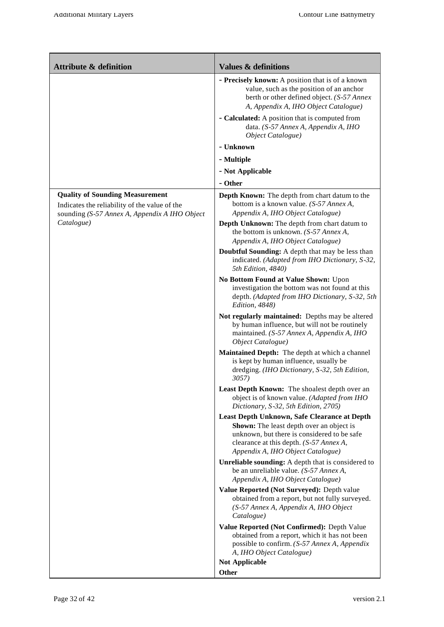| <b>Attribute &amp; definition</b>                                                                                                        | <b>Values &amp; definitions</b>                                                                                                                                                                                                |
|------------------------------------------------------------------------------------------------------------------------------------------|--------------------------------------------------------------------------------------------------------------------------------------------------------------------------------------------------------------------------------|
|                                                                                                                                          | - Precisely known: A position that is of a known<br>value, such as the position of an anchor<br>berth or other defined object. (S-57 Annex<br>A, Appendix A, IHO Object Catalogue)                                             |
|                                                                                                                                          | - Calculated: A position that is computed from<br>data. (S-57 Annex A, Appendix A, IHO<br>Object Catalogue)                                                                                                                    |
|                                                                                                                                          | - Unknown                                                                                                                                                                                                                      |
|                                                                                                                                          | - Multiple                                                                                                                                                                                                                     |
|                                                                                                                                          | - Not Applicable                                                                                                                                                                                                               |
|                                                                                                                                          | - Other                                                                                                                                                                                                                        |
| <b>Quality of Sounding Measurement</b><br>Indicates the reliability of the value of the<br>sounding (S-57 Annex A, Appendix A IHO Object | Depth Known: The depth from chart datum to the<br>bottom is a known value. (S-57 Annex A,<br>Appendix A, IHO Object Catalogue)                                                                                                 |
| Catalogue)                                                                                                                               | Depth Unknown: The depth from chart datum to<br>the bottom is unknown. $(S-57 \text{ } \text{Annex A},$<br>Appendix A, IHO Object Catalogue)                                                                                   |
|                                                                                                                                          | Doubtful Sounding: A depth that may be less than<br>indicated. (Adapted from IHO Dictionary, S-32,<br>5th Edition, 4840)                                                                                                       |
|                                                                                                                                          | No Bottom Found at Value Shown: Upon<br>investigation the bottom was not found at this<br>depth. (Adapted from IHO Dictionary, S-32, 5th<br>Edition, 4848)                                                                     |
|                                                                                                                                          | Not regularly maintained: Depths may be altered<br>by human influence, but will not be routinely<br>maintained. (S-57 Annex A, Appendix A, IHO<br>Object Catalogue)                                                            |
|                                                                                                                                          | Maintained Depth: The depth at which a channel<br>is kept by human influence, usually be<br>dredging. (IHO Dictionary, S-32, 5th Edition,<br><i>3057</i> )                                                                     |
|                                                                                                                                          | Least Depth Known: The shoalest depth over an<br>object is of known value. (Adapted from IHO<br>Dictionary, S-32, 5th Edition, 2705)                                                                                           |
|                                                                                                                                          | Least Depth Unknown, Safe Clearance at Depth<br><b>Shown:</b> The least depth over an object is<br>unknown, but there is considered to be safe<br>clearance at this depth. (S-57 Annex A,<br>Appendix A, IHO Object Catalogue) |
|                                                                                                                                          | Unreliable sounding: A depth that is considered to<br>be an unreliable value. (S-57 Annex A,<br>Appendix A, IHO Object Catalogue)                                                                                              |
|                                                                                                                                          | Value Reported (Not Surveyed): Depth value<br>obtained from a report, but not fully surveyed.<br>(S-57 Annex A, Appendix A, IHO Object<br>Catalogue)                                                                           |
|                                                                                                                                          | Value Reported (Not Confirmed): Depth Value<br>obtained from a report, which it has not been<br>possible to confirm. (S-57 Annex A, Appendix<br>A, IHO Object Catalogue)                                                       |
|                                                                                                                                          | <b>Not Applicable</b>                                                                                                                                                                                                          |
|                                                                                                                                          | <b>Other</b>                                                                                                                                                                                                                   |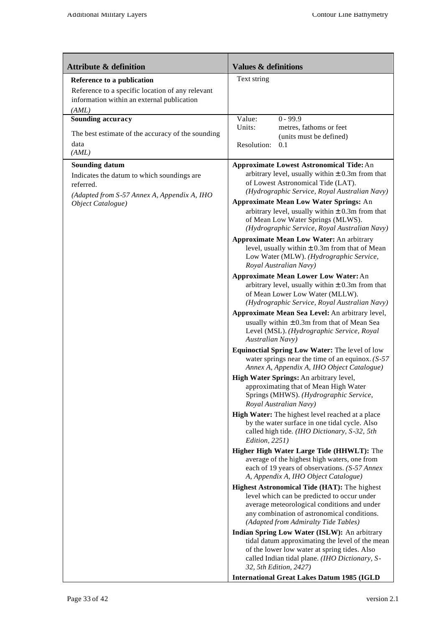| <b>Attribute &amp; definition</b>                                                                                                                    | <b>Values &amp; definitions</b>                                                                                                                                                                                                                                                                                                                                                                                                                                                                                                                                                                                                                                                                                                                                                                                                                                                                                                                                                                                                                                                                                                                                                                                                                                                                                                                                                                                                                                                                                                                                                                                                                                                                                                                                                                                                |
|------------------------------------------------------------------------------------------------------------------------------------------------------|--------------------------------------------------------------------------------------------------------------------------------------------------------------------------------------------------------------------------------------------------------------------------------------------------------------------------------------------------------------------------------------------------------------------------------------------------------------------------------------------------------------------------------------------------------------------------------------------------------------------------------------------------------------------------------------------------------------------------------------------------------------------------------------------------------------------------------------------------------------------------------------------------------------------------------------------------------------------------------------------------------------------------------------------------------------------------------------------------------------------------------------------------------------------------------------------------------------------------------------------------------------------------------------------------------------------------------------------------------------------------------------------------------------------------------------------------------------------------------------------------------------------------------------------------------------------------------------------------------------------------------------------------------------------------------------------------------------------------------------------------------------------------------------------------------------------------------|
| Reference to a publication<br>Reference to a specific location of any relevant<br>information within an external publication<br>(AML)                | Text string                                                                                                                                                                                                                                                                                                                                                                                                                                                                                                                                                                                                                                                                                                                                                                                                                                                                                                                                                                                                                                                                                                                                                                                                                                                                                                                                                                                                                                                                                                                                                                                                                                                                                                                                                                                                                    |
| Sounding accuracy<br>The best estimate of the accuracy of the sounding<br>data<br>(AML)                                                              | Value:<br>$0 - 99.9$<br>Units:<br>metres, fathoms or feet<br>(units must be defined)<br>Resolution:<br>0.1                                                                                                                                                                                                                                                                                                                                                                                                                                                                                                                                                                                                                                                                                                                                                                                                                                                                                                                                                                                                                                                                                                                                                                                                                                                                                                                                                                                                                                                                                                                                                                                                                                                                                                                     |
| <b>Sounding datum</b><br>Indicates the datum to which soundings are<br>referred.<br>(Adapted from S-57 Annex A, Appendix A, IHO<br>Object Catalogue) | <b>Approximate Lowest Astronomical Tide: An</b><br>arbitrary level, usually within $\pm$ 0.3m from that<br>of Lowest Astronomical Tide (LAT).<br>(Hydrographic Service, Royal Australian Navy)<br><b>Approximate Mean Low Water Springs: An</b><br>arbitrary level, usually within $\pm$ 0.3m from that<br>of Mean Low Water Springs (MLWS).<br>(Hydrographic Service, Royal Australian Navy)<br><b>Approximate Mean Low Water: An arbitrary</b><br>level, usually within $\pm$ 0.3m from that of Mean<br>Low Water (MLW). (Hydrographic Service,<br>Royal Australian Navy)<br><b>Approximate Mean Lower Low Water: An</b><br>arbitrary level, usually within $\pm$ 0.3m from that<br>of Mean Lower Low Water (MLLW).<br>(Hydrographic Service, Royal Australian Navy)<br>Approximate Mean Sea Level: An arbitrary level,<br>usually within $\pm$ 0.3m from that of Mean Sea<br>Level (MSL). (Hydrographic Service, Royal<br><b>Australian Navy</b> )<br>Equinoctial Spring Low Water: The level of low<br>water springs near the time of an equinox. $(S-57)$<br>Annex A, Appendix A, IHO Object Catalogue)<br>High Water Springs: An arbitrary level,<br>approximating that of Mean High Water<br>Springs (MHWS). (Hydrographic Service,<br>Royal Australian Navy)<br>High Water: The highest level reached at a place<br>by the water surface in one tidal cycle. Also<br>called high tide. (IHO Dictionary, S-32, 5th<br>Edition, 2251)<br>Higher High Water Large Tide (HHWLT): The<br>average of the highest high waters, one from<br>each of 19 years of observations. (S-57 Annex<br>A, Appendix A, IHO Object Catalogue)<br>Highest Astronomical Tide (HAT): The highest<br>level which can be predicted to occur under<br>average meteorological conditions and under<br>any combination of astronomical conditions. |
|                                                                                                                                                      | (Adapted from Admiralty Tide Tables)<br>Indian Spring Low Water (ISLW): An arbitrary<br>tidal datum approximating the level of the mean<br>of the lower low water at spring tides. Also<br>called Indian tidal plane. (IHO Dictionary, S-<br>32, 5th Edition, 2427)<br><b>International Great Lakes Datum 1985 (IGLD</b>                                                                                                                                                                                                                                                                                                                                                                                                                                                                                                                                                                                                                                                                                                                                                                                                                                                                                                                                                                                                                                                                                                                                                                                                                                                                                                                                                                                                                                                                                                       |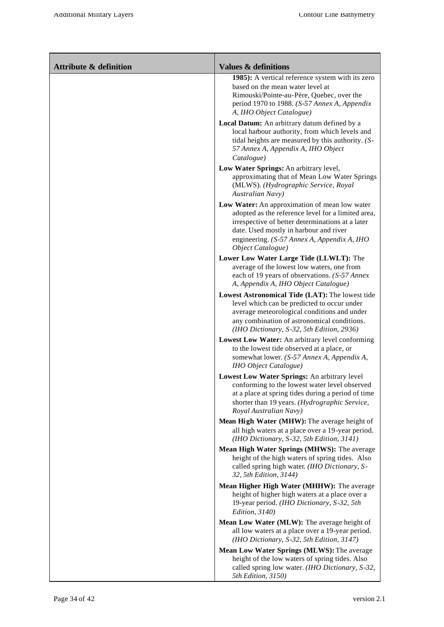| <b>Attribute &amp; definition</b> | <b>Values &amp; definitions</b>                                                                                                                                                                                                                                       |
|-----------------------------------|-----------------------------------------------------------------------------------------------------------------------------------------------------------------------------------------------------------------------------------------------------------------------|
|                                   | 1985): A vertical reference system with its zero<br>based on the mean water level at<br>Rimouski/Pointe-au-Père, Quebec, over the<br>period 1970 to 1988. (S-57 Annex A, Appendix<br>A, IHO Object Catalogue)                                                         |
|                                   | Local Datum: An arbitrary datum defined by a<br>local harbour authority, from which levels and<br>tidal heights are measured by this authority. (S-<br>57 Annex A, Appendix A, IHO Object<br>Catalogue)                                                               |
|                                   | Low Water Springs: An arbitrary level,<br>approximating that of Mean Low Water Springs<br>(MLWS). (Hydrographic Service, Royal<br>Australian Navy)                                                                                                                    |
|                                   | Low Water: An approximation of mean low water<br>adopted as the reference level for a limited area,<br>irrespective of better determinations at a later<br>date. Used mostly in harbour and river<br>engineering. (S-57 Annex A, Appendix A, IHO<br>Object Catalogue) |
|                                   | Lower Low Water Large Tide (LLWLT): The<br>average of the lowest low waters, one from<br>each of 19 years of observations. (S-57 Annex<br>A, Appendix A, IHO Object Catalogue)                                                                                        |
|                                   | Lowest Astronomical Tide (LAT): The lowest tide<br>level which can be predicted to occur under<br>average meteorological conditions and under<br>any combination of astronomical conditions.<br>(IHO Dictionary, S-32, 5th Edition, 2936)                             |
|                                   | Lowest Low Water: An arbitrary level conforming<br>to the lowest tide observed at a place, or<br>somewhat lower. (S-57 Annex A, Appendix A,<br><b>IHO</b> Object Catalogue)                                                                                           |
|                                   | Lowest Low Water Springs: An arbitrary level<br>conforming to the lowest water level observed<br>at a place at spring tides during a period of time<br>shorter than 19 years. (Hydrographic Service,<br>Royal Australian Navy)                                        |
|                                   | Mean High Water (MHW): The average height of<br>all high waters at a place over a 19-year period.<br>(IHO Dictionary, S-32, 5th Edition, 3141)                                                                                                                        |
|                                   | Mean High Water Springs (MHWS): The average<br>height of the high waters of spring tides. Also<br>called spring high water. (IHO Dictionary, S-<br>32, 5th Edition, 3144)                                                                                             |
|                                   | Mean Higher High Water (MHHW): The average<br>height of higher high waters at a place over a<br>19-year period. (IHO Dictionary, S-32, 5th<br>Edition, 3140)                                                                                                          |
|                                   | Mean Low Water (MLW): The average height of<br>all low waters at a place over a 19-year period.<br>(IHO Dictionary, S-32, 5th Edition, 3147)                                                                                                                          |
|                                   | Mean Low Water Springs (MLWS): The average<br>height of the low waters of spring tides. Also<br>called spring low water. (IHO Dictionary, S-32,<br>5th Edition, 3150)                                                                                                 |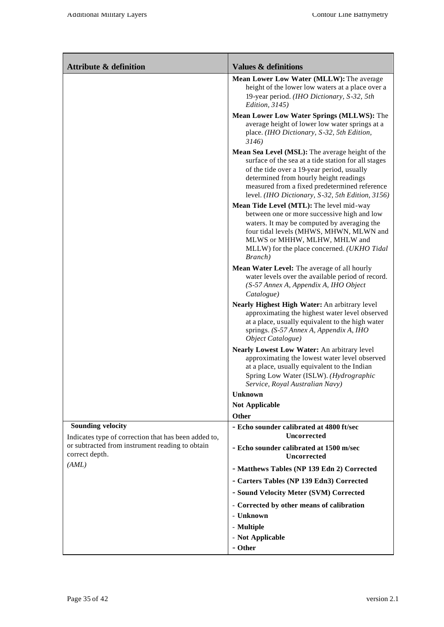| <b>Attribute &amp; definition</b>                                                | <b>Values &amp; definitions</b>                                                                                                                                                                                                                                                                     |
|----------------------------------------------------------------------------------|-----------------------------------------------------------------------------------------------------------------------------------------------------------------------------------------------------------------------------------------------------------------------------------------------------|
|                                                                                  | Mean Lower Low Water (MLLW): The average<br>height of the lower low waters at a place over a<br>19-year period. (IHO Dictionary, S-32, 5th<br><i>Edition</i> , 3145)                                                                                                                                |
|                                                                                  | Mean Lower Low Water Springs (MLLWS): The<br>average height of lower low water springs at a<br>place. (IHO Dictionary, S-32, 5th Edition,<br>3146)                                                                                                                                                  |
|                                                                                  | Mean Sea Level (MSL): The average height of the<br>surface of the sea at a tide station for all stages<br>of the tide over a 19-year period, usually<br>determined from hourly height readings<br>measured from a fixed predetermined reference<br>level. (IHO Dictionary, S-32, 5th Edition, 3156) |
|                                                                                  | Mean Tide Level (MTL): The level mid-way<br>between one or more successive high and low<br>waters. It may be computed by averaging the<br>four tidal levels (MHWS, MHWN, MLWN and<br>MLWS or MHHW, MLHW, MHLW and<br>MLLW) for the place concerned. (UKHO Tidal                                     |
|                                                                                  | Branch)<br>Mean Water Level: The average of all hourly<br>water levels over the available period of record.<br>(S-57 Annex A, Appendix A, IHO Object<br>Catalogue)                                                                                                                                  |
|                                                                                  | Nearly Highest High Water: An arbitrary level<br>approximating the highest water level observed<br>at a place, usually equivalent to the high water<br>springs. (S-57 Annex A, Appendix A, IHO<br>Object Catalogue)                                                                                 |
|                                                                                  | Nearly Lowest Low Water: An arbitrary level<br>approximating the lowest water level observed<br>at a place, usually equivalent to the Indian<br>Spring Low Water (ISLW). (Hydrographic                                                                                                              |
|                                                                                  | Service, Royal Australian Navy)<br><b>Unknown</b>                                                                                                                                                                                                                                                   |
|                                                                                  | <b>Not Applicable</b>                                                                                                                                                                                                                                                                               |
|                                                                                  | <b>Other</b>                                                                                                                                                                                                                                                                                        |
| <b>Sounding velocity</b><br>Indicates type of correction that has been added to, | - Echo sounder calibrated at 4800 ft/sec<br><b>Uncorrected</b>                                                                                                                                                                                                                                      |
| or subtracted from instrument reading to obtain<br>correct depth.                | - Echo sounder calibrated at 1500 m/sec<br><b>Uncorrected</b>                                                                                                                                                                                                                                       |
| (AML)                                                                            | - Matthews Tables (NP 139 Edn 2) Corrected                                                                                                                                                                                                                                                          |
|                                                                                  | - Carters Tables (NP 139 Edn3) Corrected                                                                                                                                                                                                                                                            |
|                                                                                  | - Sound Velocity Meter (SVM) Corrected                                                                                                                                                                                                                                                              |
|                                                                                  | - Corrected by other means of calibration                                                                                                                                                                                                                                                           |
|                                                                                  | - Unknown                                                                                                                                                                                                                                                                                           |
|                                                                                  | - Multiple<br>- Not Applicable                                                                                                                                                                                                                                                                      |
|                                                                                  | - Other                                                                                                                                                                                                                                                                                             |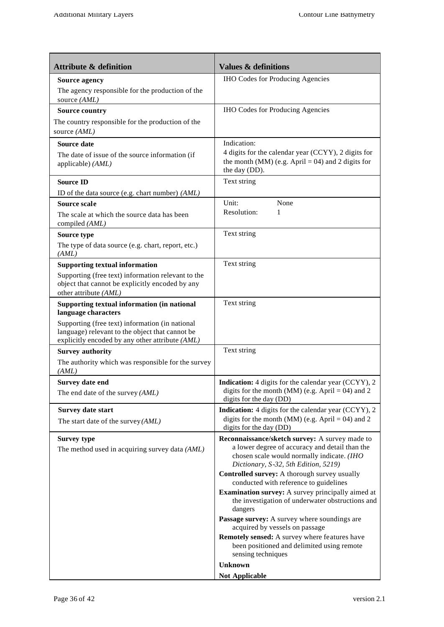| <b>Attribute &amp; definition</b>                                                                                                                     | <b>Values &amp; definitions</b>                                                                                                                |
|-------------------------------------------------------------------------------------------------------------------------------------------------------|------------------------------------------------------------------------------------------------------------------------------------------------|
| <b>Source agency</b>                                                                                                                                  | <b>IHO Codes for Producing Agencies</b>                                                                                                        |
| The agency responsible for the production of the<br>source (AML)                                                                                      |                                                                                                                                                |
| <b>Source country</b>                                                                                                                                 | <b>IHO Codes for Producing Agencies</b>                                                                                                        |
| The country responsible for the production of the<br>source (AML)                                                                                     |                                                                                                                                                |
| Source date                                                                                                                                           | Indication:                                                                                                                                    |
| The date of issue of the source information (if<br>applicable) (AML)                                                                                  | 4 digits for the calendar year (CCYY), 2 digits for<br>the month (MM) (e.g. April = 04) and 2 digits for<br>the day (DD).                      |
| <b>Source ID</b>                                                                                                                                      | Text string                                                                                                                                    |
| ID of the data source (e.g. chart number) (AML)                                                                                                       |                                                                                                                                                |
| Source scale                                                                                                                                          | Unit:<br>None                                                                                                                                  |
| The scale at which the source data has been<br>compiled (AML)                                                                                         | Resolution:<br>1                                                                                                                               |
| Source type                                                                                                                                           | Text string                                                                                                                                    |
| The type of data source (e.g. chart, report, etc.)<br>(AML)                                                                                           |                                                                                                                                                |
| <b>Supporting textual information</b>                                                                                                                 | Text string                                                                                                                                    |
| Supporting (free text) information relevant to the<br>object that cannot be explicitly encoded by any<br>other attribute (AML)                        |                                                                                                                                                |
| Supporting textual information (in national<br>language characters                                                                                    | Text string                                                                                                                                    |
| Supporting (free text) information (in national<br>language) relevant to the object that cannot be<br>explicitly encoded by any other attribute (AML) |                                                                                                                                                |
| <b>Survey authority</b>                                                                                                                               | Text string                                                                                                                                    |
| The authority which was responsible for the survey<br>(AML)                                                                                           |                                                                                                                                                |
| <b>Survey date end</b>                                                                                                                                | <b>Indication:</b> 4 digits for the calendar year (CCYY), 2                                                                                    |
| The end date of the survey (AML)                                                                                                                      | digits for the month (MM) (e.g. April = 04) and 2<br>digits for the day (DD)                                                                   |
| Survey date start                                                                                                                                     | Indication: 4 digits for the calendar year (CCYY), 2                                                                                           |
| The start date of the survey $(AML)$                                                                                                                  | digits for the month (MM) (e.g. April = 04) and 2<br>digits for the day (DD)                                                                   |
| <b>Survey type</b><br>The method used in acquiring survey data (AML)                                                                                  | Reconnaissance/sketch survey: A survey made to<br>a lower degree of accuracy and detail than the<br>chosen scale would normally indicate. (IHO |
|                                                                                                                                                       | Dictionary, S-32, 5th Edition, 5219)                                                                                                           |
|                                                                                                                                                       | Controlled survey: A thorough survey usually<br>conducted with reference to guidelines                                                         |
|                                                                                                                                                       | <b>Examination survey:</b> A survey principally aimed at<br>the investigation of underwater obstructions and<br>dangers                        |
|                                                                                                                                                       | Passage survey: A survey where soundings are<br>acquired by vessels on passage                                                                 |
|                                                                                                                                                       | Remotely sensed: A survey where features have                                                                                                  |
|                                                                                                                                                       | been positioned and delimited using remote<br>sensing techniques                                                                               |
|                                                                                                                                                       | <b>Unknown</b>                                                                                                                                 |
|                                                                                                                                                       | <b>Not Applicable</b>                                                                                                                          |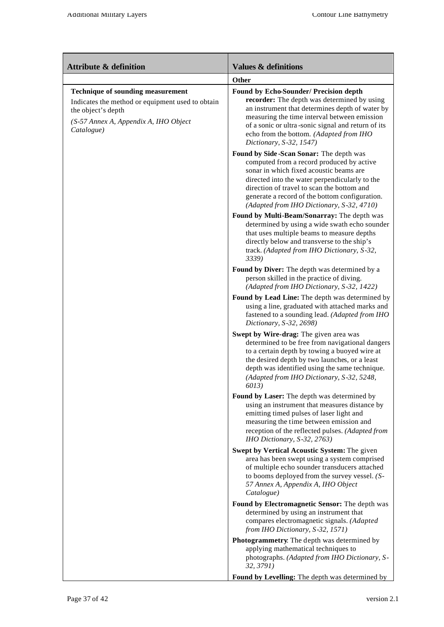| <b>Attribute &amp; definition</b>                                                                                                                                  | <b>Values &amp; definitions</b>                                                                                                                                                                                                                                                                                                |
|--------------------------------------------------------------------------------------------------------------------------------------------------------------------|--------------------------------------------------------------------------------------------------------------------------------------------------------------------------------------------------------------------------------------------------------------------------------------------------------------------------------|
|                                                                                                                                                                    | Other                                                                                                                                                                                                                                                                                                                          |
| Technique of sounding measurement<br>Indicates the method or equipment used to obtain<br>the object's depth<br>(S-57 Annex A, Appendix A, IHO Object<br>Catalogue) | Found by Echo-Sounder/ Precision depth<br>recorder: The depth was determined by using<br>an instrument that determines depth of water by<br>measuring the time interval between emission<br>of a sonic or ultra-sonic signal and return of its<br>echo from the bottom. (Adapted from IHO<br>Dictionary, S-32, 1547)           |
|                                                                                                                                                                    | Found by Side-Scan Sonar: The depth was<br>computed from a record produced by active<br>sonar in which fixed acoustic beams are<br>directed into the water perpendicularly to the<br>direction of travel to scan the bottom and<br>generate a record of the bottom configuration.<br>(Adapted from IHO Dictionary, S-32, 4710) |
|                                                                                                                                                                    | Found by Multi-Beam/Sonarray: The depth was<br>determined by using a wide swath echo sounder<br>that uses multiple beams to measure depths<br>directly below and transverse to the ship's<br>track. (Adapted from IHO Dictionary, S-32,<br>3339)                                                                               |
|                                                                                                                                                                    | Found by Diver: The depth was determined by a<br>person skilled in the practice of diving.<br>(Adapted from IHO Dictionary, S-32, 1422)                                                                                                                                                                                        |
|                                                                                                                                                                    | Found by Lead Line: The depth was determined by<br>using a line, graduated with attached marks and<br>fastened to a sounding lead. (Adapted from IHO<br>Dictionary, S-32, 2698)                                                                                                                                                |
|                                                                                                                                                                    | Swept by Wire-drag: The given area was<br>determined to be free from navigational dangers<br>to a certain depth by towing a buoyed wire at<br>the desired depth by two launches, or a least<br>depth was identified using the same technique.<br>(Adapted from IHO Dictionary, S-32, 5248,<br>6013)                            |
|                                                                                                                                                                    | Found by Laser: The depth was determined by<br>using an instrument that measures distance by<br>emitting timed pulses of laser light and<br>measuring the time between emission and<br>reception of the reflected pulses. (Adapted from<br>IHO Dictionary, S-32, 2763)                                                         |
|                                                                                                                                                                    | Swept by Vertical Acoustic System: The given<br>area has been swept using a system comprised<br>of multiple echo sounder transducers attached<br>to booms deployed from the survey vessel. (S-<br>57 Annex A, Appendix A, IHO Object<br>Catalogue)                                                                             |
|                                                                                                                                                                    | Found by Electromagnetic Sensor: The depth was<br>determined by using an instrument that<br>compares electromagnetic signals. (Adapted<br>from IHO Dictionary, S-32, 1571)                                                                                                                                                     |
|                                                                                                                                                                    | Photogrammetry. The depth was determined by<br>applying mathematical techniques to<br>photographs. (Adapted from IHO Dictionary, S-<br>32, 3791)                                                                                                                                                                               |
|                                                                                                                                                                    | Found by Levelling: The depth was determined by                                                                                                                                                                                                                                                                                |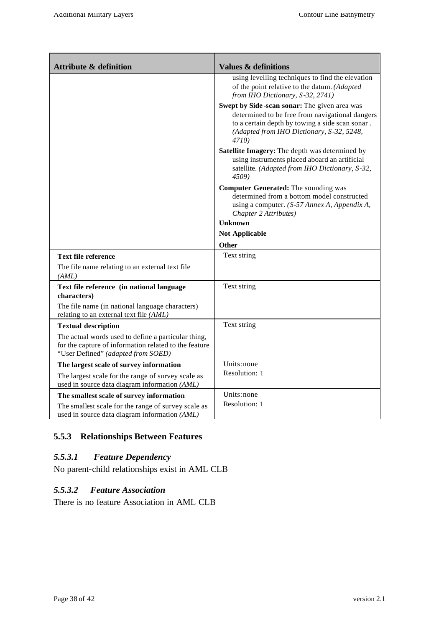| <b>Attribute &amp; definition</b>                                                                                                                  | <b>Values &amp; definitions</b>                                                                                                                                                                          |
|----------------------------------------------------------------------------------------------------------------------------------------------------|----------------------------------------------------------------------------------------------------------------------------------------------------------------------------------------------------------|
|                                                                                                                                                    | using levelling techniques to find the elevation<br>of the point relative to the datum. (Adapted<br>from IHO Dictionary, S-32, 2741)                                                                     |
|                                                                                                                                                    | Swept by Side-scan sonar: The given area was<br>determined to be free from navigational dangers<br>to a certain depth by towing a side scan sonar.<br>(Adapted from IHO Dictionary, S-32, 5248,<br>4710) |
|                                                                                                                                                    | Satellite Imagery: The depth was determined by<br>using instruments placed aboard an artificial<br>satellite. (Adapted from IHO Dictionary, S-32,<br>4509)                                               |
|                                                                                                                                                    | <b>Computer Generated:</b> The sounding was<br>determined from a bottom model constructed<br>using a computer. (S-57 Annex A, Appendix A,<br>Chapter 2 Attributes)                                       |
|                                                                                                                                                    | Unknown                                                                                                                                                                                                  |
|                                                                                                                                                    | <b>Not Applicable</b>                                                                                                                                                                                    |
|                                                                                                                                                    | Other                                                                                                                                                                                                    |
| <b>Text file reference</b>                                                                                                                         | Text string                                                                                                                                                                                              |
| The file name relating to an external text file<br>(AML)                                                                                           |                                                                                                                                                                                                          |
| Text file reference (in national language<br>characters)                                                                                           | Text string                                                                                                                                                                                              |
| The file name (in national language characters)<br>relating to an external text file (AML)                                                         |                                                                                                                                                                                                          |
| <b>Textual description</b>                                                                                                                         | Text string                                                                                                                                                                                              |
| The actual words used to define a particular thing,<br>for the capture of information related to the feature<br>"User Defined" (adapted from SOED) |                                                                                                                                                                                                          |
| The largest scale of survey information                                                                                                            | Units: none                                                                                                                                                                                              |
| The largest scale for the range of survey scale as<br>used in source data diagram information (AML)                                                | Resolution: 1                                                                                                                                                                                            |
| The smallest scale of survey information                                                                                                           | Units: none                                                                                                                                                                                              |
| The smallest scale for the range of survey scale as<br>used in source data diagram information (AML)                                               | Resolution: 1                                                                                                                                                                                            |

## **5.5.3 Relationships Between Features**

## *5.5.3.1 Feature Dependency*

No parent-child relationships exist in AML CLB

### *5.5.3.2 Feature Association*

There is no feature Association in AML CLB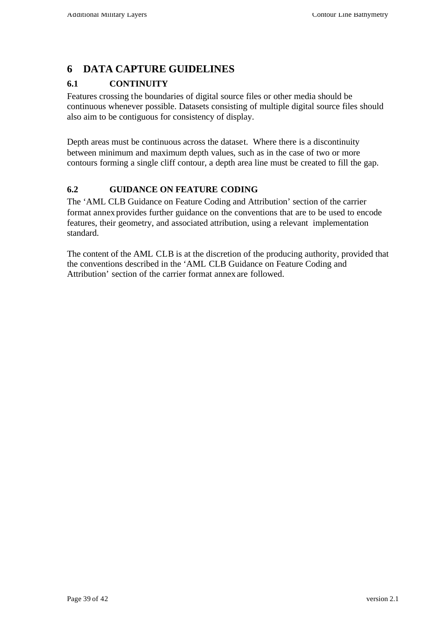# **6 DATA CAPTURE GUIDELINES**

## **6.1 CONTINUITY**

Features crossing the boundaries of digital source files or other media should be continuous whenever possible. Datasets consisting of multiple digital source files should also aim to be contiguous for consistency of display.

Depth areas must be continuous across the dataset. Where there is a discontinuity between minimum and maximum depth values, such as in the case of two or more contours forming a single cliff contour, a depth area line must be created to fill the gap.

## **6.2 GUIDANCE ON FEATURE CODING**

The 'AML CLB Guidance on Feature Coding and Attribution' section of the carrier format annex provides further guidance on the conventions that are to be used to encode features, their geometry, and associated attribution, using a relevant implementation standard.

The content of the AML CLB is at the discretion of the producing authority, provided that the conventions described in the 'AML CLB Guidance on Feature Coding and Attribution' section of the carrier format annexare followed.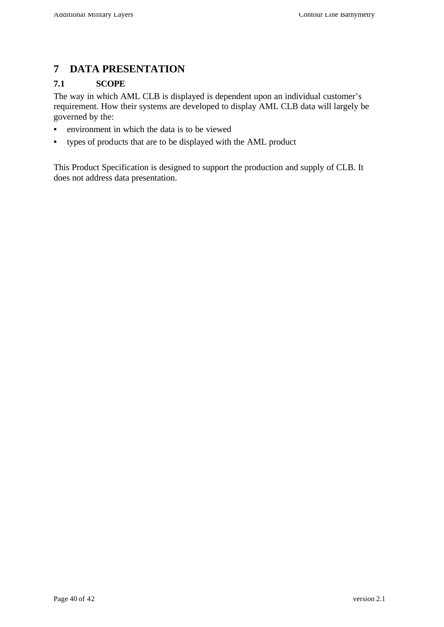## **7 DATA PRESENTATION**

#### **7.1 SCOPE**

The way in which AML CLB is displayed is dependent upon an individual customer's requirement. How their systems are developed to display AML CLB data will largely be governed by the:

- environment in which the data is to be viewed
- types of products that are to be displayed with the AML product

This Product Specification is designed to support the production and supply of CLB. It does not address data presentation.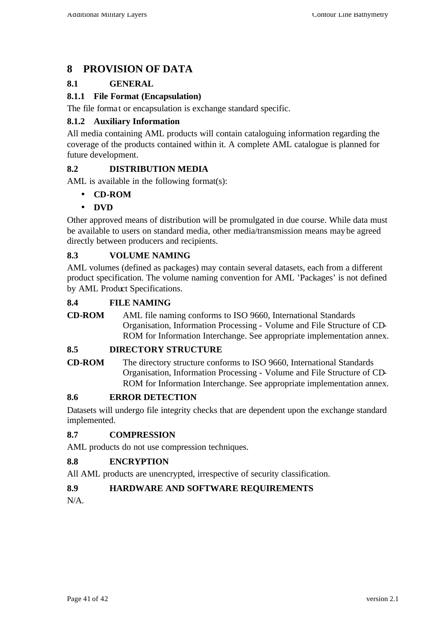# **8 PROVISION OF DATA**

## **8.1 GENERAL**

#### **8.1.1 File Format (Encapsulation)**

The file format or encapsulation is exchange standard specific.

#### **8.1.2 Auxiliary Information**

All media containing AML products will contain cataloguing information regarding the coverage of the products contained within it. A complete AML catalogue is planned for future development.

#### **8.2 DISTRIBUTION MEDIA**

AML is available in the following format(s):

- **CD-ROM**
- **DVD**

Other approved means of distribution will be promulgated in due course. While data must be available to users on standard media, other media/transmission means may be agreed directly between producers and recipients.

#### **8.3 VOLUME NAMING**

AML volumes (defined as packages) may contain several datasets, each from a different product specification. The volume naming convention for AML 'Packages' is not defined by AML Product Specifications.

#### **8.4 FILE NAMING**

**CD-ROM** AML file naming conforms to ISO 9660, International Standards Organisation, Information Processing - Volume and File Structure of CD-ROM for Information Interchange. See appropriate implementation annex.

#### **8.5 DIRECTORY STRUCTURE**

**CD-ROM** The directory structure conforms to ISO 9660, International Standards Organisation, Information Processing - Volume and File Structure of CD-ROM for Information Interchange. See appropriate implementation annex.

#### **8.6 ERROR DETECTION**

Datasets will undergo file integrity checks that are dependent upon the exchange standard implemented.

#### **8.7 COMPRESSION**

AML products do not use compression techniques.

#### **8.8 ENCRYPTION**

All AML products are unencrypted, irrespective of security classification.

#### **8.9 HARDWARE AND SOFTWARE REQUIREMENTS**

N/A.